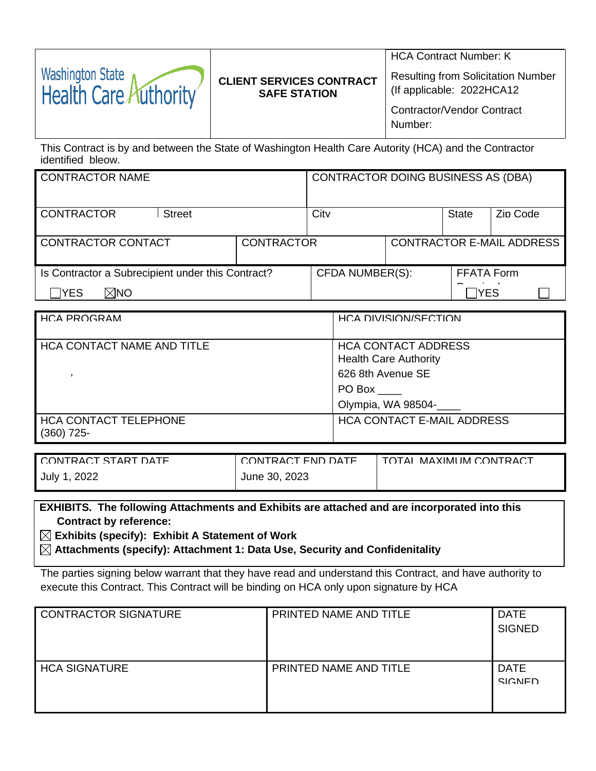| Washington State<br>Health Care Authority | <b>CLIENT SERVICES CONTRACT</b> | <b>HCA Contract Number: K</b><br><b>Resulting from Solicitation Number</b><br>(If applicable: 2022HCA12) |
|-------------------------------------------|---------------------------------|----------------------------------------------------------------------------------------------------------|
|                                           | <b>SAFE STATION</b>             | <b>Contractor/Vendor Contract</b><br>Number:                                                             |

This Contract is by and between the State of Washington Health Care Autority (HCA) and the Contractor identified bleow.

| <b>CONTRACTOR NAME</b>                            |                   | <b>CONTRACTOR DOING BUSINESS AS (DBA)</b> |                   |                                  |
|---------------------------------------------------|-------------------|-------------------------------------------|-------------------|----------------------------------|
| <b>CONTRACTOR</b><br><b>Street</b>                |                   | City                                      | State             | Zin Code                         |
| CONTRACTOR CONTACT                                | <b>CONTRACTOR</b> |                                           |                   | <b>CONTRACTOR E-MAIL ADDRESS</b> |
| Is Contractor a Subrecipient under this Contract? |                   | <b>CFDA NUMBER(S):</b>                    | <b>FFATA Form</b> |                                  |
| TYES]<br>⊠NO                                      |                   |                                           | lYES              |                                  |

| HCA PROGRAM                                  | HCA DIVISION/SECTION                                                                                            |
|----------------------------------------------|-----------------------------------------------------------------------------------------------------------------|
| <b>HCA CONTACT NAME AND TITLE</b>            | <b>HCA CONTACT ADDRESS</b><br><b>Health Care Authority</b><br>626 8th Avenue SE<br>PO Box<br>Olympia, WA 98504- |
| <b>HCA CONTACT TELEPHONE</b><br>$(360)$ 725- | <b>HCA CONTACT E-MAIL ADDRESS</b>                                                                               |

| LCONTRACT START DATE | CONTRACT FND DATE | TOTAL MAXIMUM CONTRACT |
|----------------------|-------------------|------------------------|
| , 2022<br>July 1     | June 30, 2023     |                        |

**EXHIBITS. The following Attachments and Exhibits are attached and are incorporated into this Contract by reference:**

**Exhibits (specify): Exhibit A Statement of Work**

**Attachments (specify): Attachment 1: Data Use, Security and Confidenitality** 

The parties signing below warrant that they have read and understand this Contract, and have authority to execute this Contract. This Contract will be binding on HCA only upon signature by HCA

| CONTRACTOR SIGNATURE | PRINTED NAME AND TITLE | <b>DATE</b><br><b>SIGNED</b> |
|----------------------|------------------------|------------------------------|
| <b>HCA SIGNATURE</b> | PRINTED NAME AND TITLE | <b>DATE</b><br><b>SIGNED</b> |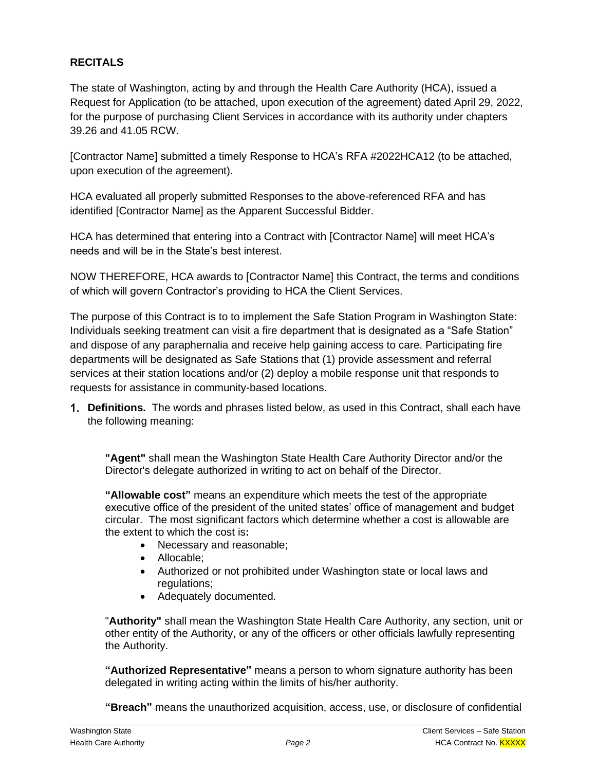# **RECITALS**

The state of Washington, acting by and through the Health Care Authority (HCA), issued a Request for Application (to be attached, upon execution of the agreement) dated April 29, 2022, for the purpose of purchasing Client Services in accordance with its authority under chapters 39.26 and 41.05 RCW.

[Contractor Name] submitted a timely Response to HCA's RFA #2022HCA12 (to be attached, upon execution of the agreement).

HCA evaluated all properly submitted Responses to the above-referenced RFA and has identified [Contractor Name] as the Apparent Successful Bidder.

HCA has determined that entering into a Contract with [Contractor Name] will meet HCA's needs and will be in the State's best interest.

NOW THEREFORE, HCA awards to [Contractor Name] this Contract, the terms and conditions of which will govern Contractor's providing to HCA the Client Services.

The purpose of this Contract is to to implement the Safe Station Program in Washington State: Individuals seeking treatment can visit a fire department that is designated as a "Safe Station" and dispose of any paraphernalia and receive help gaining access to care. Participating fire departments will be designated as Safe Stations that (1) provide assessment and referral services at their station locations and/or (2) deploy a mobile response unit that responds to requests for assistance in community-based locations.

**Definitions.** The words and phrases listed below, as used in this Contract, shall each have the following meaning:

**"Agent"** shall mean the Washington State Health Care Authority Director and/or the Director's delegate authorized in writing to act on behalf of the Director.

**"Allowable cost"** means an expenditure which meets the test of the appropriate executive office of the president of the united states' office of management and budget circular. The most significant factors which determine whether a cost is allowable are the extent to which the cost is**:**

- Necessary and reasonable;
- Allocable;
- Authorized or not prohibited under Washington state or local laws and regulations;
- Adequately documented.

"**Authority"** shall mean the Washington State Health Care Authority, any section, unit or other entity of the Authority, or any of the officers or other officials lawfully representing the Authority.

**"Authorized Representative"** means a person to whom signature authority has been delegated in writing acting within the limits of his/her authority.

**"Breach"** means the unauthorized acquisition, access, use, or disclosure of confidential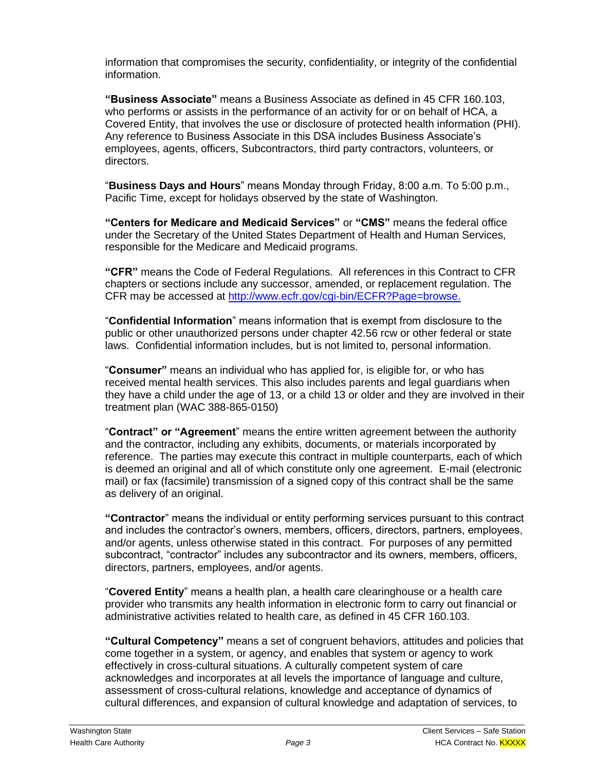information that compromises the security, confidentiality, or integrity of the confidential information.

**"Business Associate"** means a Business Associate as defined in 45 CFR 160.103, who performs or assists in the performance of an activity for or on behalf of HCA, a Covered Entity, that involves the use or disclosure of protected health information (PHI). Any reference to Business Associate in this DSA includes Business Associate's employees, agents, officers, Subcontractors, third party contractors, volunteers, or directors.

"**Business Days and Hours**" means Monday through Friday, 8:00 a.m. To 5:00 p.m., Pacific Time, except for holidays observed by the state of Washington.

**"Centers for Medicare and Medicaid Services"** or **"CMS"** means the federal office under the Secretary of the United States Department of Health and Human Services, responsible for the Medicare and Medicaid programs.

**"CFR"** means the Code of Federal Regulations. All references in this Contract to CFR chapters or sections include any successor, amended, or replacement regulation. The CFR may be accessed at [http://www.ecfr.gov/cgi-bin/ECFR?Page=browse.](http://www.ecfr.gov/cgi-bin/ECFR?page=browse)

"**Confidential Information**" means information that is exempt from disclosure to the public or other unauthorized persons under chapter 42.56 rcw or other federal or state laws. Confidential information includes, but is not limited to, personal information.

"**Consumer"** means an individual who has applied for, is eligible for, or who has received mental health services. This also includes parents and legal guardians when they have a child under the age of 13, or a child 13 or older and they are involved in their treatment plan (WAC 388-865-0150)

"**Contract" or "Agreement**" means the entire written agreement between the authority and the contractor, including any exhibits, documents, or materials incorporated by reference. The parties may execute this contract in multiple counterparts, each of which is deemed an original and all of which constitute only one agreement. E-mail (electronic mail) or fax (facsimile) transmission of a signed copy of this contract shall be the same as delivery of an original.

**"Contractor**" means the individual or entity performing services pursuant to this contract and includes the contractor's owners, members, officers, directors, partners, employees, and/or agents, unless otherwise stated in this contract. For purposes of any permitted subcontract, "contractor" includes any subcontractor and its owners, members, officers, directors, partners, employees, and/or agents.

"**Covered Entity**" means a health plan, a health care clearinghouse or a health care provider who transmits any health information in electronic form to carry out financial or administrative activities related to health care, as defined in 45 CFR 160.103.

**"Cultural Competency"** means a set of congruent behaviors, attitudes and policies that come together in a system, or agency, and enables that system or agency to work effectively in cross-cultural situations. A culturally competent system of care acknowledges and incorporates at all levels the importance of language and culture, assessment of cross-cultural relations, knowledge and acceptance of dynamics of cultural differences, and expansion of cultural knowledge and adaptation of services, to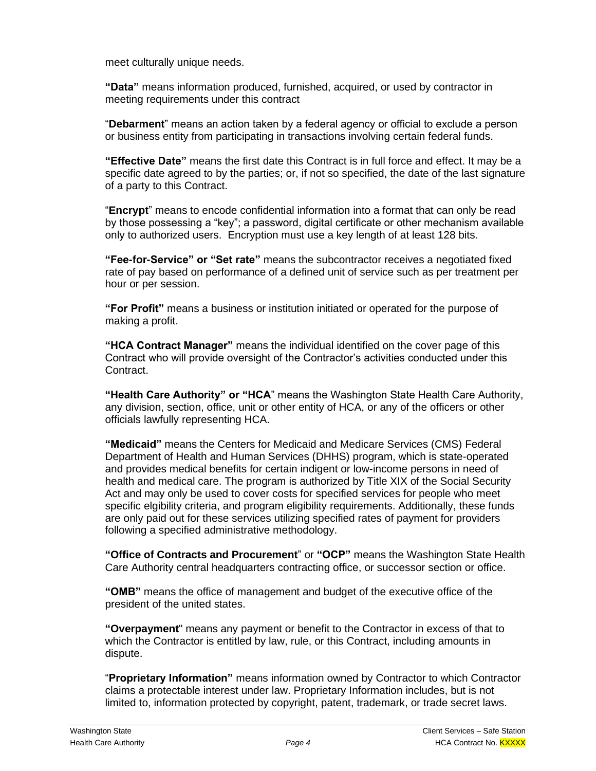meet culturally unique needs.

**"Data"** means information produced, furnished, acquired, or used by contractor in meeting requirements under this contract

"**Debarment**" means an action taken by a federal agency or official to exclude a person or business entity from participating in transactions involving certain federal funds.

**"Effective Date"** means the first date this Contract is in full force and effect. It may be a specific date agreed to by the parties; or, if not so specified, the date of the last signature of a party to this Contract.

"**Encrypt**" means to encode confidential information into a format that can only be read by those possessing a "key"; a password, digital certificate or other mechanism available only to authorized users. Encryption must use a key length of at least 128 bits.

**"Fee-for-Service" or "Set rate"** means the subcontractor receives a negotiated fixed rate of pay based on performance of a defined unit of service such as per treatment per hour or per session.

**"For Profit"** means a business or institution initiated or operated for the purpose of making a profit.

**"HCA Contract Manager"** means the individual identified on the cover page of this Contract who will provide oversight of the Contractor's activities conducted under this Contract.

**"Health Care Authority" or "HCA**" means the Washington State Health Care Authority, any division, section, office, unit or other entity of HCA, or any of the officers or other officials lawfully representing HCA.

**"Medicaid"** means the Centers for Medicaid and Medicare Services (CMS) Federal Department of Health and Human Services (DHHS) program, which is state-operated and provides medical benefits for certain indigent or low-income persons in need of health and medical care. The program is authorized by Title XIX of the Social Security Act and may only be used to cover costs for specified services for people who meet specific elgibility criteria, and program eligibility requirements. Additionally, these funds are only paid out for these services utilizing specified rates of payment for providers following a specified administrative methodology.

**"Office of Contracts and Procurement**" or **"OCP"** means the Washington State Health Care Authority central headquarters contracting office, or successor section or office.

**"OMB"** means the office of management and budget of the executive office of the president of the united states.

**"Overpayment**" means any payment or benefit to the Contractor in excess of that to which the Contractor is entitled by law, rule, or this Contract, including amounts in dispute.

"**Proprietary Information"** means information owned by Contractor to which Contractor claims a protectable interest under law. Proprietary Information includes, but is not limited to, information protected by copyright, patent, trademark, or trade secret laws.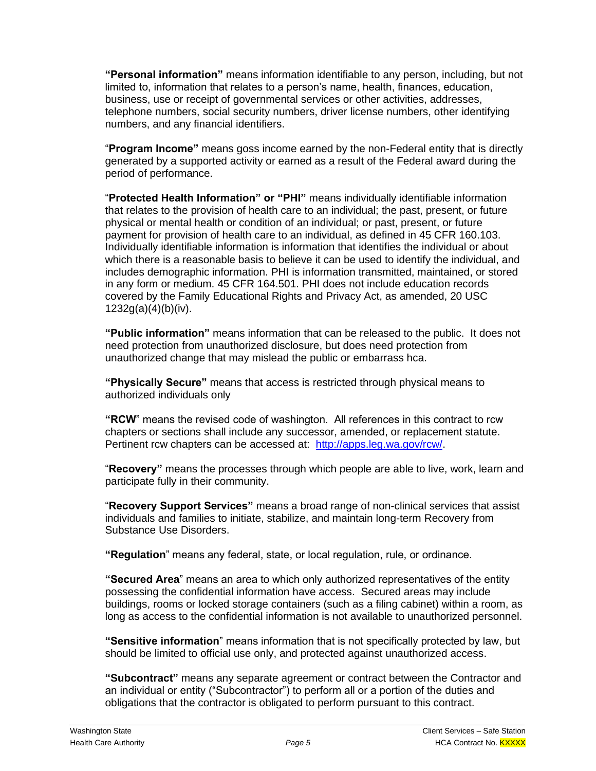**"Personal information"** means information identifiable to any person, including, but not limited to, information that relates to a person's name, health, finances, education, business, use or receipt of governmental services or other activities, addresses, telephone numbers, social security numbers, driver license numbers, other identifying numbers, and any financial identifiers.

"**Program Income"** means goss income earned by the non-Federal entity that is directly generated by a supported activity or earned as a result of the Federal award during the period of performance.

"**Protected Health Information" or "PHI"** means individually identifiable information that relates to the provision of health care to an individual; the past, present, or future physical or mental health or condition of an individual; or past, present, or future payment for provision of health care to an individual, as defined in 45 CFR 160.103. Individually identifiable information is information that identifies the individual or about which there is a reasonable basis to believe it can be used to identify the individual, and includes demographic information. PHI is information transmitted, maintained, or stored in any form or medium. 45 CFR 164.501. PHI does not include education records covered by the Family Educational Rights and Privacy Act, as amended, 20 USC  $1232g(a)(4)(b)(iv).$ 

**"Public information"** means information that can be released to the public. It does not need protection from unauthorized disclosure, but does need protection from unauthorized change that may mislead the public or embarrass hca.

**"Physically Secure"** means that access is restricted through physical means to authorized individuals only

**"RCW**" means the revised code of washington. All references in this contract to rcw chapters or sections shall include any successor, amended, or replacement statute. Pertinent rcw chapters can be accessed at: [http://apps.leg.wa.gov/rcw/.](http://apps.leg.wa.gov/rcw/)

"**Recovery"** means the processes through which people are able to live, work, learn and participate fully in their community.

"**Recovery Support Services"** means a broad range of non-clinical services that assist individuals and families to initiate, stabilize, and maintain long-term Recovery from Substance Use Disorders.

**"Regulation**" means any federal, state, or local regulation, rule, or ordinance.

**"Secured Area**" means an area to which only authorized representatives of the entity possessing the confidential information have access. Secured areas may include buildings, rooms or locked storage containers (such as a filing cabinet) within a room, as long as access to the confidential information is not available to unauthorized personnel.

**"Sensitive information**" means information that is not specifically protected by law, but should be limited to official use only, and protected against unauthorized access.

**"Subcontract"** means any separate agreement or contract between the Contractor and an individual or entity ("Subcontractor") to perform all or a portion of the duties and obligations that the contractor is obligated to perform pursuant to this contract.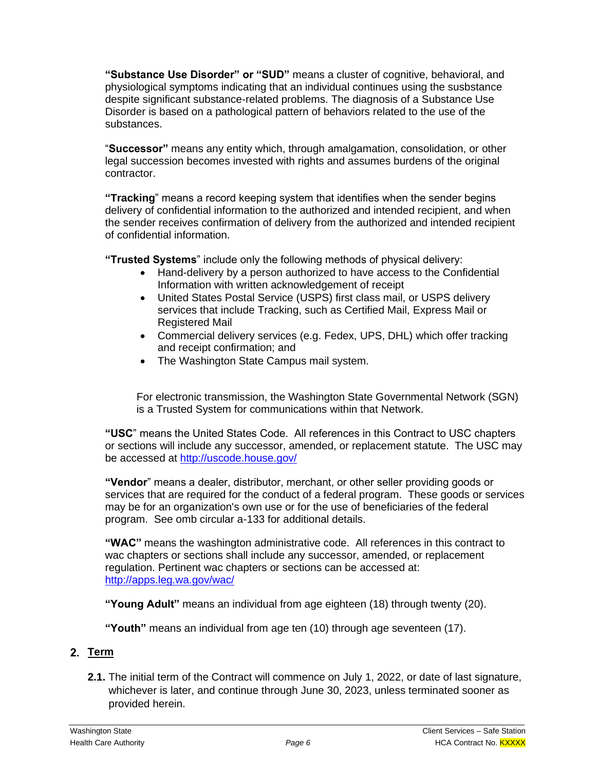**"Substance Use Disorder" or "SUD"** means a cluster of cognitive, behavioral, and physiological symptoms indicating that an individual continues using the susbstance despite significant substance-related problems. The diagnosis of a Substance Use Disorder is based on a pathological pattern of behaviors related to the use of the substances.

"**Successor"** means any entity which, through amalgamation, consolidation, or other legal succession becomes invested with rights and assumes burdens of the original contractor.

**"Tracking**" means a record keeping system that identifies when the sender begins delivery of confidential information to the authorized and intended recipient, and when the sender receives confirmation of delivery from the authorized and intended recipient of confidential information.

**"Trusted Systems**" include only the following methods of physical delivery:

- Hand-delivery by a person authorized to have access to the Confidential Information with written acknowledgement of receipt
- United States Postal Service (USPS) first class mail, or USPS delivery services that include Tracking, such as Certified Mail, Express Mail or Registered Mail
- Commercial delivery services (e.g. Fedex, UPS, DHL) which offer tracking and receipt confirmation; and
- The Washington State Campus mail system.

For electronic transmission, the Washington State Governmental Network (SGN) is a Trusted System for communications within that Network.

**"USC**" means the United States Code. All references in this Contract to USC chapters or sections will include any successor, amended, or replacement statute. The USC may be accessed at<http://uscode.house.gov/>

**"Vendor**" means a dealer, distributor, merchant, or other seller providing goods or services that are required for the conduct of a federal program. These goods or services may be for an organization's own use or for the use of beneficiaries of the federal program. See omb circular a-133 for additional details.

**"WAC"** means the washington administrative code. All references in this contract to wac chapters or sections shall include any successor, amended, or replacement regulation. Pertinent wac chapters or sections can be accessed at: <http://apps.leg.wa.gov/wac/>

**"Young Adult"** means an individual from age eighteen (18) through twenty (20).

**"Youth"** means an individual from age ten (10) through age seventeen (17).

## 2. Term

**2.1.** The initial term of the Contract will commence on July 1, 2022, or date of last signature, whichever is later, and continue through June 30, 2023, unless terminated sooner as provided herein.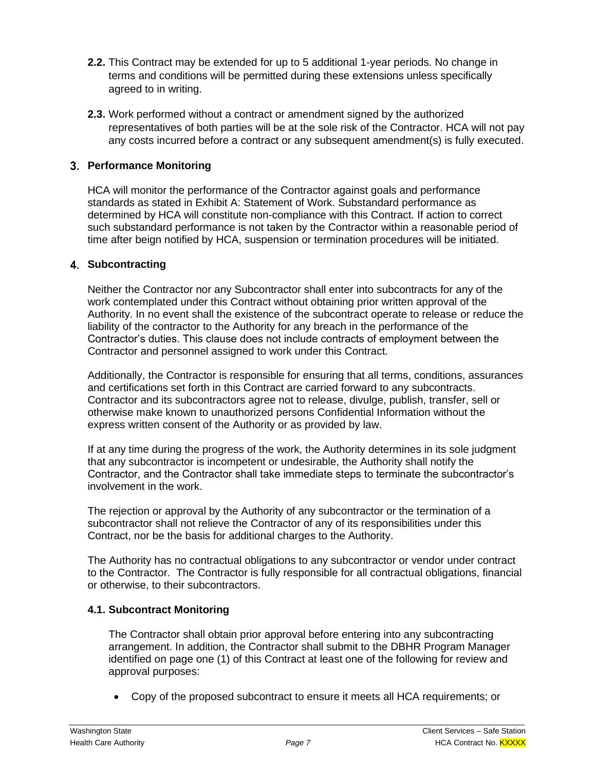- **2.2.** This Contract may be extended for up to 5 additional 1-year periods. No change in terms and conditions will be permitted during these extensions unless specifically agreed to in writing.
- **2.3.** Work performed without a contract or amendment signed by the authorized representatives of both parties will be at the sole risk of the Contractor. HCA will not pay any costs incurred before a contract or any subsequent amendment(s) is fully executed.

## **Performance Monitoring**

HCA will monitor the performance of the Contractor against goals and performance standards as stated in Exhibit A: Statement of Work. Substandard performance as determined by HCA will constitute non-compliance with this Contract. If action to correct such substandard performance is not taken by the Contractor within a reasonable period of time after beign notified by HCA, suspension or termination procedures will be initiated.

## **Subcontracting**

Neither the Contractor nor any Subcontractor shall enter into subcontracts for any of the work contemplated under this Contract without obtaining prior written approval of the Authority. In no event shall the existence of the subcontract operate to release or reduce the liability of the contractor to the Authority for any breach in the performance of the Contractor's duties. This clause does not include contracts of employment between the Contractor and personnel assigned to work under this Contract.

Additionally, the Contractor is responsible for ensuring that all terms, conditions, assurances and certifications set forth in this Contract are carried forward to any subcontracts. Contractor and its subcontractors agree not to release, divulge, publish, transfer, sell or otherwise make known to unauthorized persons Confidential Information without the express written consent of the Authority or as provided by law.

If at any time during the progress of the work, the Authority determines in its sole judgment that any subcontractor is incompetent or undesirable, the Authority shall notify the Contractor, and the Contractor shall take immediate steps to terminate the subcontractor's involvement in the work.

The rejection or approval by the Authority of any subcontractor or the termination of a subcontractor shall not relieve the Contractor of any of its responsibilities under this Contract, nor be the basis for additional charges to the Authority.

The Authority has no contractual obligations to any subcontractor or vendor under contract to the Contractor. The Contractor is fully responsible for all contractual obligations, financial or otherwise, to their subcontractors.

## **4.1. Subcontract Monitoring**

The Contractor shall obtain prior approval before entering into any subcontracting arrangement. In addition, the Contractor shall submit to the DBHR Program Manager identified on page one (1) of this Contract at least one of the following for review and approval purposes:

• Copy of the proposed subcontract to ensure it meets all HCA requirements; or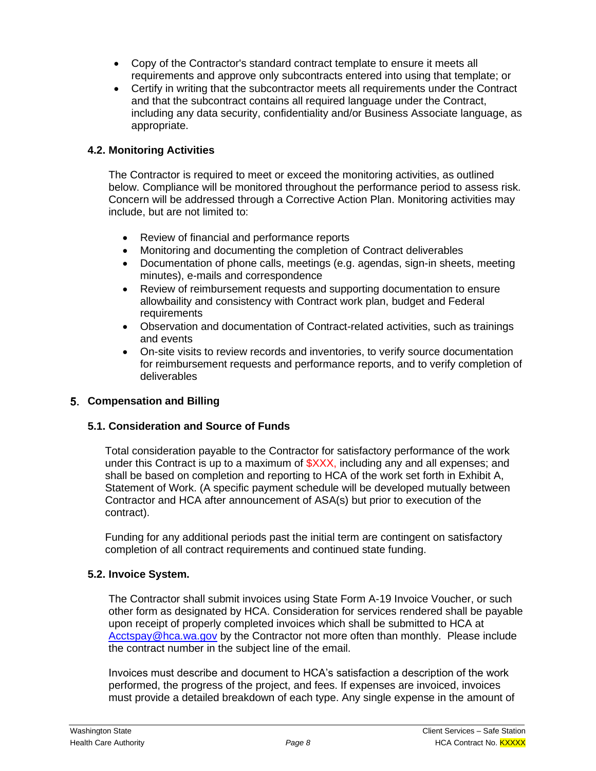- Copy of the Contractor's standard contract template to ensure it meets all requirements and approve only subcontracts entered into using that template; or
- Certify in writing that the subcontractor meets all requirements under the Contract and that the subcontract contains all required language under the Contract, including any data security, confidentiality and/or Business Associate language, as appropriate.

## **4.2. Monitoring Activities**

The Contractor is required to meet or exceed the monitoring activities, as outlined below. Compliance will be monitored throughout the performance period to assess risk. Concern will be addressed through a Corrective Action Plan. Monitoring activities may include, but are not limited to:

- Review of financial and performance reports
- Monitoring and documenting the completion of Contract deliverables
- Documentation of phone calls, meetings (e.g. agendas, sign-in sheets, meeting minutes), e-mails and correspondence
- Review of reimbursement requests and supporting documentation to ensure allowbaility and consistency with Contract work plan, budget and Federal requirements
- Observation and documentation of Contract-related activities, such as trainings and events
- On-site visits to review records and inventories, to verify source documentation for reimbursement requests and performance reports, and to verify completion of deliverables

## **Compensation and Billing**

## **5.1. Consideration and Source of Funds**

Total consideration payable to the Contractor for satisfactory performance of the work under this Contract is up to a maximum of  $\frac{2}{2}$  including any and all expenses; and shall be based on completion and reporting to HCA of the work set forth in Exhibit A, Statement of Work. (A specific payment schedule will be developed mutually between Contractor and HCA after announcement of ASA(s) but prior to execution of the contract).

Funding for any additional periods past the initial term are contingent on satisfactory completion of all contract requirements and continued state funding.

## **5.2. Invoice System.**

The Contractor shall submit invoices using State Form A-19 Invoice Voucher, or such other form as designated by HCA. Consideration for services rendered shall be payable upon receipt of properly completed invoices which shall be submitted to HCA at [Acctspay@hca.wa.gov](mailto:Acctspay@hca.wa.gov) by the Contractor not more often than monthly. Please include the contract number in the subject line of the email.

Invoices must describe and document to HCA's satisfaction a description of the work performed, the progress of the project, and fees. If expenses are invoiced, invoices must provide a detailed breakdown of each type. Any single expense in the amount of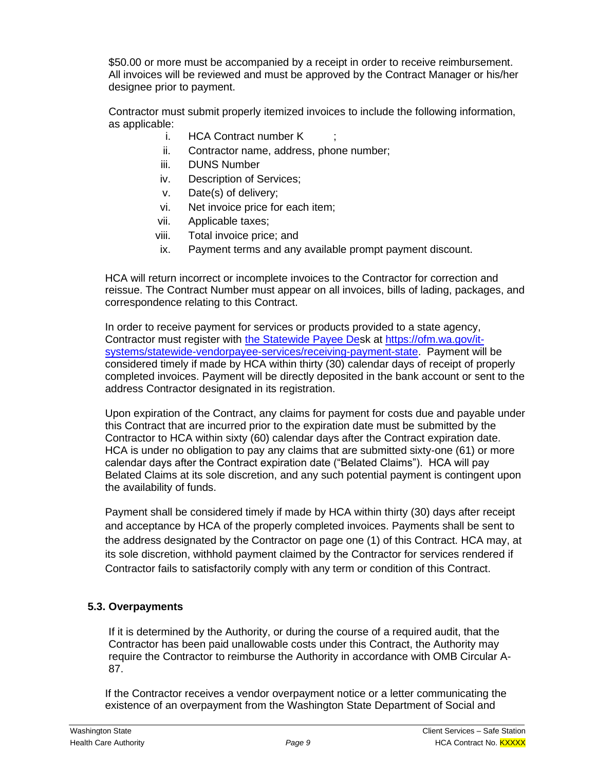\$50.00 or more must be accompanied by a receipt in order to receive reimbursement. All invoices will be reviewed and must be approved by the Contract Manager or his/her designee prior to payment.

Contractor must submit properly itemized invoices to include the following information, as applicable:

- i. HCA Contract number K
- ii. Contractor name, address, phone number;
- iii. DUNS Number
- iv. Description of Services;
- v. Date(s) of delivery;
- vi. Net invoice price for each item;
- vii. Applicable taxes;
- viii. Total invoice price; and
- ix. Payment terms and any available prompt payment discount.

HCA will return incorrect or incomplete invoices to the Contractor for correction and reissue. The Contract Number must appear on all invoices, bills of lading, packages, and correspondence relating to this Contract.

In order to receive payment for services or products provided to a state agency, Contractor must register with [the Statewide Payee Des](file://///HCAFLCSP002/SECURED/OPP/Templates/Template%20Workgroup/Draft%20Templates/Client%20Services/the%20Statewide%20Payee%20De)k at [https://ofm.wa.gov/it](https://ofm.wa.gov/it-systems/statewide-vendorpayee-services/receiving-payment-state)[systems/statewide-vendorpayee-services/receiving-payment-state.](https://ofm.wa.gov/it-systems/statewide-vendorpayee-services/receiving-payment-state) Payment will be considered timely if made by HCA within thirty (30) calendar days of receipt of properly completed invoices. Payment will be directly deposited in the bank account or sent to the address Contractor designated in its registration.

Upon expiration of the Contract, any claims for payment for costs due and payable under this Contract that are incurred prior to the expiration date must be submitted by the Contractor to HCA within sixty (60) calendar days after the Contract expiration date. HCA is under no obligation to pay any claims that are submitted sixty-one (61) or more calendar days after the Contract expiration date ("Belated Claims"). HCA will pay Belated Claims at its sole discretion, and any such potential payment is contingent upon the availability of funds.

Payment shall be considered timely if made by HCA within thirty (30) days after receipt and acceptance by HCA of the properly completed invoices. Payments shall be sent to the address designated by the Contractor on page one (1) of this Contract. HCA may, at its sole discretion, withhold payment claimed by the Contractor for services rendered if Contractor fails to satisfactorily comply with any term or condition of this Contract.

# **5.3. Overpayments**

If it is determined by the Authority, or during the course of a required audit, that the Contractor has been paid unallowable costs under this Contract, the Authority may require the Contractor to reimburse the Authority in accordance with OMB Circular A-87.

If the Contractor receives a vendor overpayment notice or a letter communicating the existence of an overpayment from the Washington State Department of Social and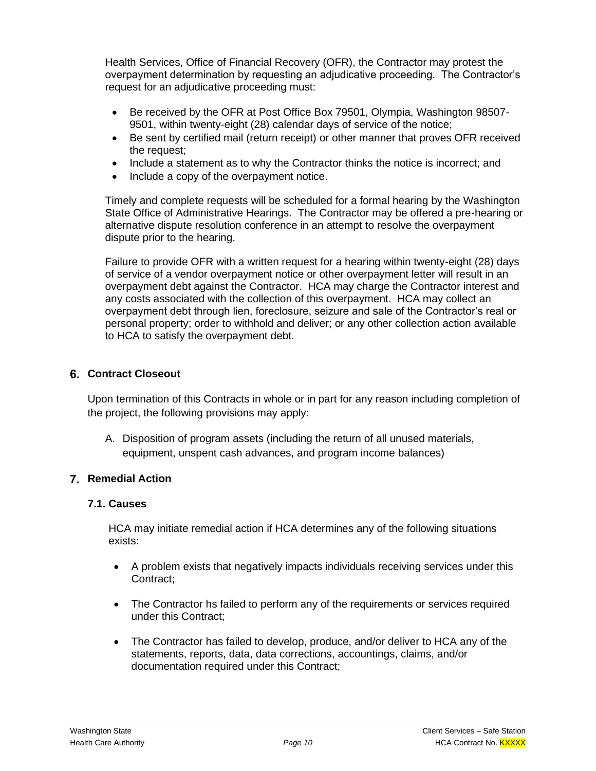Health Services, Office of Financial Recovery (OFR), the Contractor may protest the overpayment determination by requesting an adjudicative proceeding. The Contractor's request for an adjudicative proceeding must:

- Be received by the OFR at Post Office Box 79501, Olympia, Washington 98507- 9501, within twenty-eight (28) calendar days of service of the notice;
- Be sent by certified mail (return receipt) or other manner that proves OFR received the request;
- Include a statement as to why the Contractor thinks the notice is incorrect; and
- Include a copy of the overpayment notice.

Timely and complete requests will be scheduled for a formal hearing by the Washington State Office of Administrative Hearings. The Contractor may be offered a pre-hearing or alternative dispute resolution conference in an attempt to resolve the overpayment dispute prior to the hearing.

Failure to provide OFR with a written request for a hearing within twenty-eight (28) days of service of a vendor overpayment notice or other overpayment letter will result in an overpayment debt against the Contractor. HCA may charge the Contractor interest and any costs associated with the collection of this overpayment. HCA may collect an overpayment debt through lien, foreclosure, seizure and sale of the Contractor's real or personal property; order to withhold and deliver; or any other collection action available to HCA to satisfy the overpayment debt.

#### **Contract Closeout**

Upon termination of this Contracts in whole or in part for any reason including completion of the project, the following provisions may apply:

A. Disposition of program assets (including the return of all unused materials, equipment, unspent cash advances, and program income balances)

## **Remedial Action**

#### **7.1. Causes**

HCA may initiate remedial action if HCA determines any of the following situations exists:

- A problem exists that negatively impacts individuals receiving services under this Contract;
- The Contractor hs failed to perform any of the requirements or services required under this Contract;
- The Contractor has failed to develop, produce, and/or deliver to HCA any of the statements, reports, data, data corrections, accountings, claims, and/or documentation required under this Contract;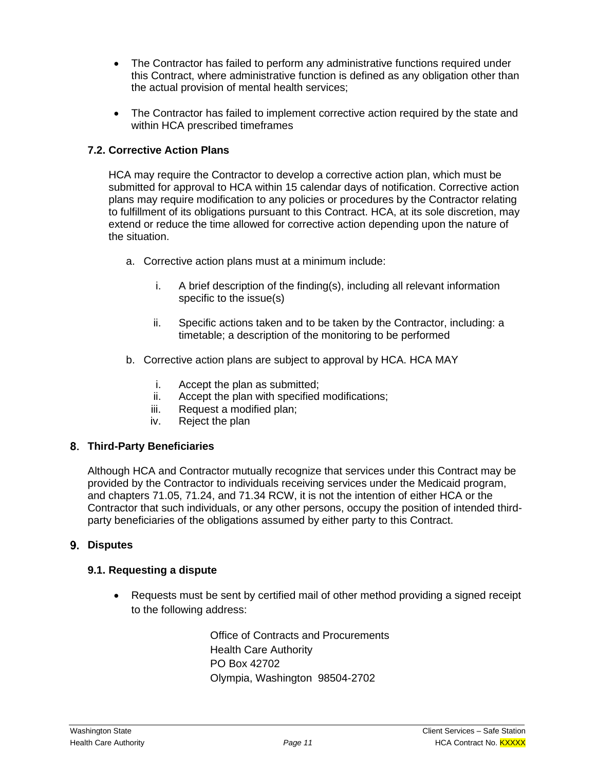- The Contractor has failed to perform any administrative functions required under this Contract, where administrative function is defined as any obligation other than the actual provision of mental health services;
- The Contractor has failed to implement corrective action required by the state and within HCA prescribed timeframes

## **7.2. Corrective Action Plans**

HCA may require the Contractor to develop a corrective action plan, which must be submitted for approval to HCA within 15 calendar days of notification. Corrective action plans may require modification to any policies or procedures by the Contractor relating to fulfillment of its obligations pursuant to this Contract. HCA, at its sole discretion, may extend or reduce the time allowed for corrective action depending upon the nature of the situation.

- a. Corrective action plans must at a minimum include:
	- i. A brief description of the finding(s), including all relevant information specific to the issue(s)
	- ii. Specific actions taken and to be taken by the Contractor, including: a timetable; a description of the monitoring to be performed
- b. Corrective action plans are subject to approval by HCA. HCA MAY
	- i. Accept the plan as submitted;
	- ii. Accept the plan with specified modifications;
	- iii. Request a modified plan;
	- iv. Reject the plan

#### **Third-Party Beneficiaries**

Although HCA and Contractor mutually recognize that services under this Contract may be provided by the Contractor to individuals receiving services under the Medicaid program, and chapters 71.05, 71.24, and 71.34 RCW, it is not the intention of either HCA or the Contractor that such individuals, or any other persons, occupy the position of intended thirdparty beneficiaries of the obligations assumed by either party to this Contract.

#### **Disputes**

## **9.1. Requesting a dispute**

• Requests must be sent by certified mail of other method providing a signed receipt to the following address:

> Office of Contracts and Procurements Health Care Authority PO Box 42702 Olympia, Washington 98504-2702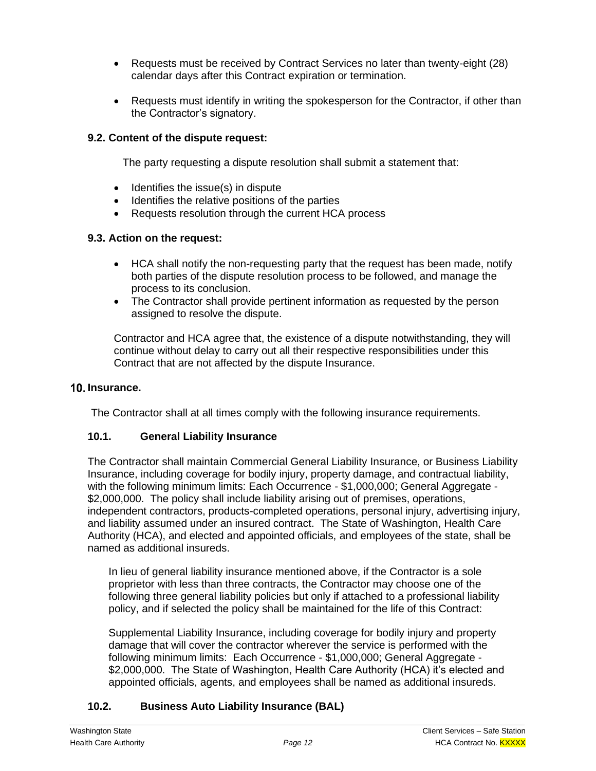- Requests must be received by Contract Services no later than twenty-eight (28) calendar days after this Contract expiration or termination.
- Requests must identify in writing the spokesperson for the Contractor, if other than the Contractor's signatory.

#### **9.2. Content of the dispute request:**

The party requesting a dispute resolution shall submit a statement that:

- Identifies the issue(s) in dispute
- Identifies the relative positions of the parties
- Requests resolution through the current HCA process

#### **9.3. Action on the request:**

- HCA shall notify the non-requesting party that the request has been made, notify both parties of the dispute resolution process to be followed, and manage the process to its conclusion.
- The Contractor shall provide pertinent information as requested by the person assigned to resolve the dispute.

Contractor and HCA agree that, the existence of a dispute notwithstanding, they will continue without delay to carry out all their respective responsibilities under this Contract that are not affected by the dispute Insurance.

#### **Insurance.**

The Contractor shall at all times comply with the following insurance requirements.

#### **10.1. General Liability Insurance**

The Contractor shall maintain Commercial General Liability Insurance, or Business Liability Insurance, including coverage for bodily injury, property damage, and contractual liability, with the following minimum limits: Each Occurrence - \$1,000,000; General Aggregate - \$2,000,000. The policy shall include liability arising out of premises, operations, independent contractors, products-completed operations, personal injury, advertising injury, and liability assumed under an insured contract. The State of Washington, Health Care Authority (HCA), and elected and appointed officials, and employees of the state, shall be named as additional insureds.

In lieu of general liability insurance mentioned above, if the Contractor is a sole proprietor with less than three contracts, the Contractor may choose one of the following three general liability policies but only if attached to a professional liability policy, and if selected the policy shall be maintained for the life of this Contract:

Supplemental Liability Insurance, including coverage for bodily injury and property damage that will cover the contractor wherever the service is performed with the following minimum limits: Each Occurrence - \$1,000,000; General Aggregate - \$2,000,000. The State of Washington, Health Care Authority (HCA) it's elected and appointed officials, agents, and employees shall be named as additional insureds.

## **10.2. Business Auto Liability Insurance (BAL)**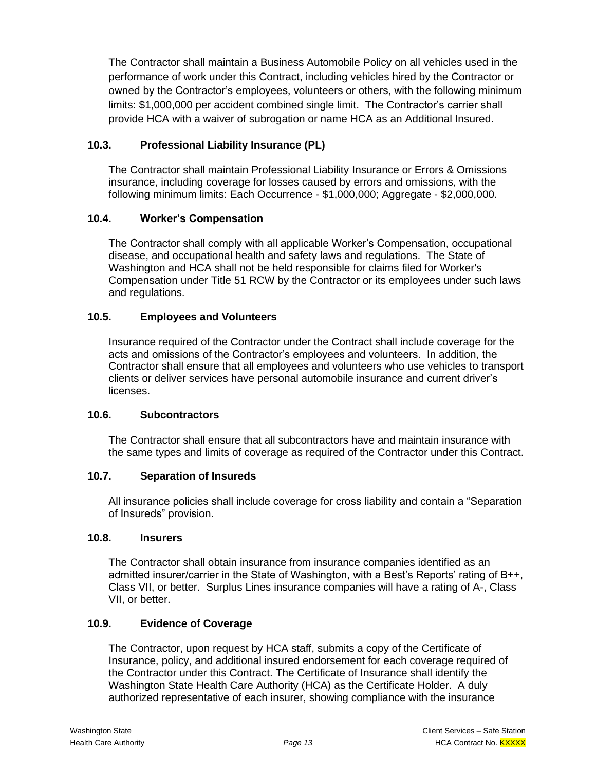The Contractor shall maintain a Business Automobile Policy on all vehicles used in the performance of work under this Contract, including vehicles hired by the Contractor or owned by the Contractor's employees, volunteers or others, with the following minimum limits: \$1,000,000 per accident combined single limit. The Contractor's carrier shall provide HCA with a waiver of subrogation or name HCA as an Additional Insured.

# **10.3. Professional Liability Insurance (PL)**

The Contractor shall maintain Professional Liability Insurance or Errors & Omissions insurance, including coverage for losses caused by errors and omissions, with the following minimum limits: Each Occurrence - \$1,000,000; Aggregate - \$2,000,000.

## **10.4. Worker's Compensation**

The Contractor shall comply with all applicable Worker's Compensation, occupational disease, and occupational health and safety laws and regulations. The State of Washington and HCA shall not be held responsible for claims filed for Worker's Compensation under Title 51 RCW by the Contractor or its employees under such laws and regulations.

## **10.5. Employees and Volunteers**

Insurance required of the Contractor under the Contract shall include coverage for the acts and omissions of the Contractor's employees and volunteers. In addition, the Contractor shall ensure that all employees and volunteers who use vehicles to transport clients or deliver services have personal automobile insurance and current driver's licenses.

## **10.6. Subcontractors**

The Contractor shall ensure that all subcontractors have and maintain insurance with the same types and limits of coverage as required of the Contractor under this Contract.

## **10.7. Separation of Insureds**

All insurance policies shall include coverage for cross liability and contain a "Separation of Insureds" provision.

#### **10.8. Insurers**

The Contractor shall obtain insurance from insurance companies identified as an admitted insurer/carrier in the State of Washington, with a Best's Reports' rating of B++, Class VII, or better. Surplus Lines insurance companies will have a rating of A-, Class VII, or better.

## **10.9. Evidence of Coverage**

The Contractor, upon request by HCA staff, submits a copy of the Certificate of Insurance, policy, and additional insured endorsement for each coverage required of the Contractor under this Contract. The Certificate of Insurance shall identify the Washington State Health Care Authority (HCA) as the Certificate Holder. A duly authorized representative of each insurer, showing compliance with the insurance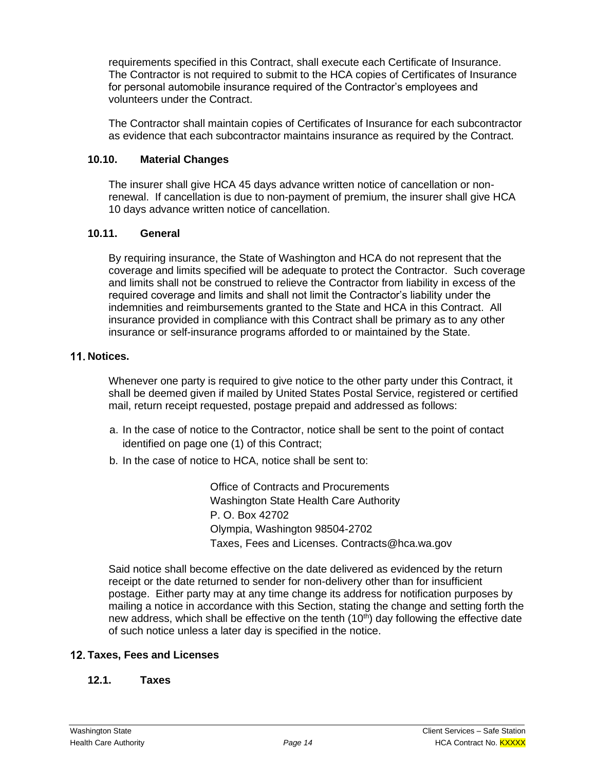requirements specified in this Contract, shall execute each Certificate of Insurance. The Contractor is not required to submit to the HCA copies of Certificates of Insurance for personal automobile insurance required of the Contractor's employees and volunteers under the Contract.

The Contractor shall maintain copies of Certificates of Insurance for each subcontractor as evidence that each subcontractor maintains insurance as required by the Contract.

#### **10.10. Material Changes**

The insurer shall give HCA 45 days advance written notice of cancellation or nonrenewal. If cancellation is due to non-payment of premium, the insurer shall give HCA 10 days advance written notice of cancellation.

#### **10.11. General**

By requiring insurance, the State of Washington and HCA do not represent that the coverage and limits specified will be adequate to protect the Contractor. Such coverage and limits shall not be construed to relieve the Contractor from liability in excess of the required coverage and limits and shall not limit the Contractor's liability under the indemnities and reimbursements granted to the State and HCA in this Contract. All insurance provided in compliance with this Contract shall be primary as to any other insurance or self-insurance programs afforded to or maintained by the State.

#### 11. Notices.

Whenever one party is required to give notice to the other party under this Contract, it shall be deemed given if mailed by United States Postal Service, registered or certified mail, return receipt requested, postage prepaid and addressed as follows:

- a. In the case of notice to the Contractor, notice shall be sent to the point of contact identified on page one (1) of this Contract;
- b. In the case of notice to HCA, notice shall be sent to:

Office of Contracts and Procurements Washington State Health Care Authority P. O. Box 42702 Olympia, Washington 98504-2702 Taxes, Fees and Licenses. Contracts@hca.wa.gov

Said notice shall become effective on the date delivered as evidenced by the return receipt or the date returned to sender for non-delivery other than for insufficient postage. Either party may at any time change its address for notification purposes by mailing a notice in accordance with this Section, stating the change and setting forth the new address, which shall be effective on the tenth  $(10<sup>th</sup>)$  day following the effective date of such notice unless a later day is specified in the notice.

## **Taxes, Fees and Licenses**

#### **12.1. Taxes**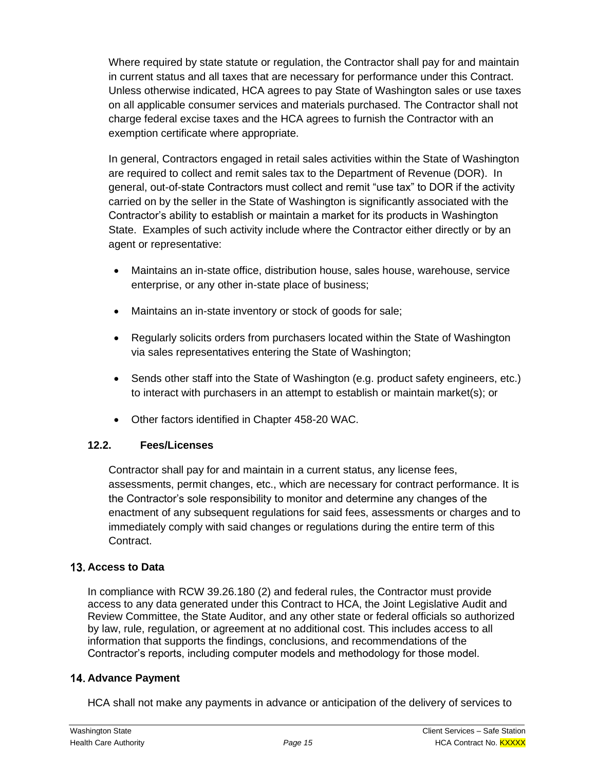Where required by state statute or regulation, the Contractor shall pay for and maintain in current status and all taxes that are necessary for performance under this Contract. Unless otherwise indicated, HCA agrees to pay State of Washington sales or use taxes on all applicable consumer services and materials purchased. The Contractor shall not charge federal excise taxes and the HCA agrees to furnish the Contractor with an exemption certificate where appropriate.

In general, Contractors engaged in retail sales activities within the State of Washington are required to collect and remit sales tax to the Department of Revenue (DOR). In general, out-of-state Contractors must collect and remit "use tax" to DOR if the activity carried on by the seller in the State of Washington is significantly associated with the Contractor's ability to establish or maintain a market for its products in Washington State. Examples of such activity include where the Contractor either directly or by an agent or representative:

- Maintains an in-state office, distribution house, sales house, warehouse, service enterprise, or any other in-state place of business;
- Maintains an in-state inventory or stock of goods for sale;
- Regularly solicits orders from purchasers located within the State of Washington via sales representatives entering the State of Washington;
- Sends other staff into the State of Washington (e.g. product safety engineers, etc.) to interact with purchasers in an attempt to establish or maintain market(s); or
- Other factors identified in Chapter 458-20 WAC.

## **12.2. Fees/Licenses**

Contractor shall pay for and maintain in a current status, any license fees, assessments, permit changes, etc., which are necessary for contract performance. It is the Contractor's sole responsibility to monitor and determine any changes of the enactment of any subsequent regulations for said fees, assessments or charges and to immediately comply with said changes or regulations during the entire term of this Contract.

# **Access to Data**

In compliance with RCW 39.26.180 (2) and federal rules, the Contractor must provide access to any data generated under this Contract to HCA, the Joint Legislative Audit and Review Committee, the State Auditor, and any other state or federal officials so authorized by law, rule, regulation, or agreement at no additional cost. This includes access to all information that supports the findings, conclusions, and recommendations of the Contractor's reports, including computer models and methodology for those model.

## **Advance Payment**

HCA shall not make any payments in advance or anticipation of the delivery of services to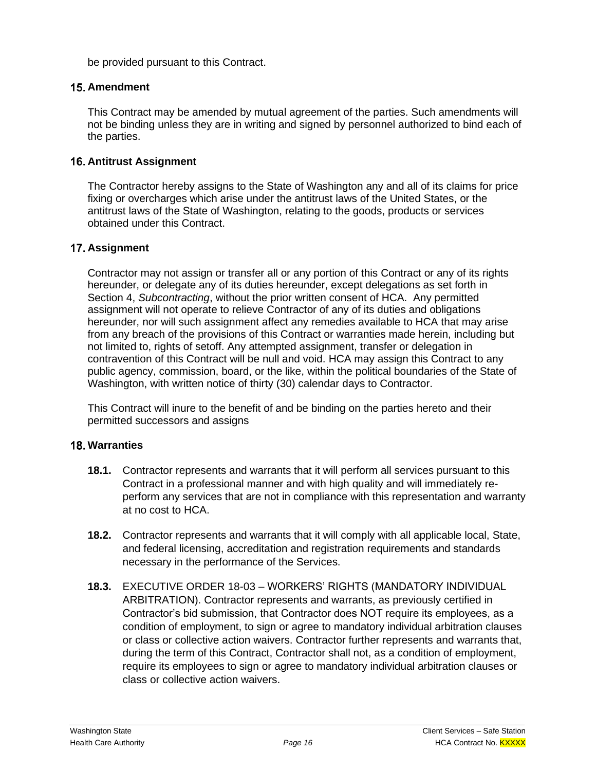be provided pursuant to this Contract.

#### **Amendment**

This Contract may be amended by mutual agreement of the parties. Such amendments will not be binding unless they are in writing and signed by personnel authorized to bind each of the parties.

#### **Antitrust Assignment**

The Contractor hereby assigns to the State of Washington any and all of its claims for price fixing or overcharges which arise under the antitrust laws of the United States, or the antitrust laws of the State of Washington, relating to the goods, products or services obtained under this Contract.

#### **Assignment**

Contractor may not assign or transfer all or any portion of this Contract or any of its rights hereunder, or delegate any of its duties hereunder, except delegations as set forth in Section 4, *Subcontracting*, without the prior written consent of HCA. Any permitted assignment will not operate to relieve Contractor of any of its duties and obligations hereunder, nor will such assignment affect any remedies available to HCA that may arise from any breach of the provisions of this Contract or warranties made herein, including but not limited to, rights of setoff. Any attempted assignment, transfer or delegation in contravention of this Contract will be null and void. HCA may assign this Contract to any public agency, commission, board, or the like, within the political boundaries of the State of Washington, with written notice of thirty (30) calendar days to Contractor.

This Contract will inure to the benefit of and be binding on the parties hereto and their permitted successors and assigns

#### **Warranties**

- **18.1.** Contractor represents and warrants that it will perform all services pursuant to this Contract in a professional manner and with high quality and will immediately reperform any services that are not in compliance with this representation and warranty at no cost to HCA.
- **18.2.** Contractor represents and warrants that it will comply with all applicable local, State, and federal licensing, accreditation and registration requirements and standards necessary in the performance of the Services.
- **18.3.** EXECUTIVE ORDER 18-03 WORKERS' RIGHTS (MANDATORY INDIVIDUAL ARBITRATION). Contractor represents and warrants, as previously certified in Contractor's bid submission, that Contractor does NOT require its employees, as a condition of employment, to sign or agree to mandatory individual arbitration clauses or class or collective action waivers. Contractor further represents and warrants that, during the term of this Contract, Contractor shall not, as a condition of employment, require its employees to sign or agree to mandatory individual arbitration clauses or class or collective action waivers.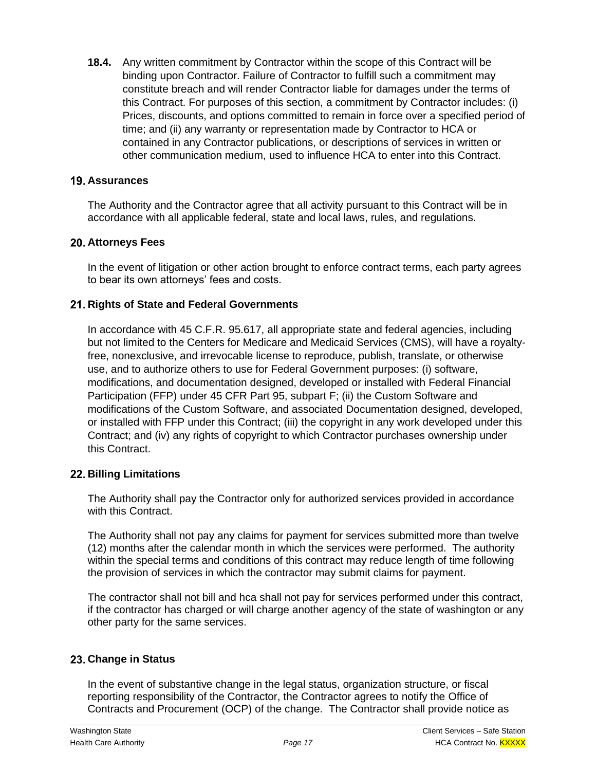**18.4.** Any written commitment by Contractor within the scope of this Contract will be binding upon Contractor. Failure of Contractor to fulfill such a commitment may constitute breach and will render Contractor liable for damages under the terms of this Contract. For purposes of this section, a commitment by Contractor includes: (i) Prices, discounts, and options committed to remain in force over a specified period of time; and (ii) any warranty or representation made by Contractor to HCA or contained in any Contractor publications, or descriptions of services in written or other communication medium, used to influence HCA to enter into this Contract.

#### **Assurances**

The Authority and the Contractor agree that all activity pursuant to this Contract will be in accordance with all applicable federal, state and local laws, rules, and regulations.

#### **Attorneys Fees**

In the event of litigation or other action brought to enforce contract terms, each party agrees to bear its own attorneys' fees and costs.

## **Rights of State and Federal Governments**

In accordance with 45 C.F.R. 95.617, all appropriate state and federal agencies, including but not limited to the Centers for Medicare and Medicaid Services (CMS), will have a royaltyfree, nonexclusive, and irrevocable license to reproduce, publish, translate, or otherwise use, and to authorize others to use for Federal Government purposes: (i) software, modifications, and documentation designed, developed or installed with Federal Financial Participation (FFP) under 45 CFR Part 95, subpart F; (ii) the Custom Software and modifications of the Custom Software, and associated Documentation designed, developed, or installed with FFP under this Contract; (iii) the copyright in any work developed under this Contract; and (iv) any rights of copyright to which Contractor purchases ownership under this Contract.

#### **Billing Limitations**

The Authority shall pay the Contractor only for authorized services provided in accordance with this Contract.

The Authority shall not pay any claims for payment for services submitted more than twelve (12) months after the calendar month in which the services were performed. The authority within the special terms and conditions of this contract may reduce length of time following the provision of services in which the contractor may submit claims for payment.

The contractor shall not bill and hca shall not pay for services performed under this contract, if the contractor has charged or will charge another agency of the state of washington or any other party for the same services.

## **Change in Status**

In the event of substantive change in the legal status, organization structure, or fiscal reporting responsibility of the Contractor, the Contractor agrees to notify the Office of Contracts and Procurement (OCP) of the change. The Contractor shall provide notice as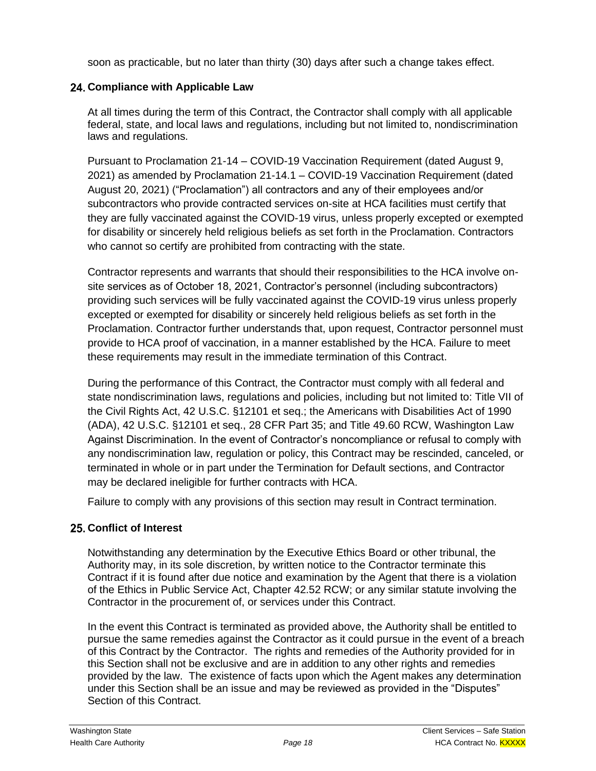soon as practicable, but no later than thirty (30) days after such a change takes effect.

# **Compliance with Applicable Law**

At all times during the term of this Contract, the Contractor shall comply with all applicable federal, state, and local laws and regulations, including but not limited to, nondiscrimination laws and regulations.

Pursuant to Proclamation 21-14 – COVID-19 Vaccination Requirement (dated August 9, 2021) as amended by Proclamation 21-14.1 – COVID-19 Vaccination Requirement (dated August 20, 2021) ("Proclamation") all contractors and any of their employees and/or subcontractors who provide contracted services on-site at HCA facilities must certify that they are fully vaccinated against the COVID-19 virus, unless properly excepted or exempted for disability or sincerely held religious beliefs as set forth in the Proclamation. Contractors who cannot so certify are prohibited from contracting with the state.

Contractor represents and warrants that should their responsibilities to the HCA involve onsite services as of October 18, 2021, Contractor's personnel (including subcontractors) providing such services will be fully vaccinated against the COVID-19 virus unless properly excepted or exempted for disability or sincerely held religious beliefs as set forth in the Proclamation. Contractor further understands that, upon request, Contractor personnel must provide to HCA proof of vaccination, in a manner established by the HCA. Failure to meet these requirements may result in the immediate termination of this Contract.

During the performance of this Contract, the Contractor must comply with all federal and state nondiscrimination laws, regulations and policies, including but not limited to: Title VII of the Civil Rights Act, 42 U.S.C. §12101 et seq.; the Americans with Disabilities Act of 1990 (ADA), 42 U.S.C. §12101 et seq., 28 CFR Part 35; and Title 49.60 RCW, Washington Law Against Discrimination. In the event of Contractor's noncompliance or refusal to comply with any nondiscrimination law, regulation or policy, this Contract may be rescinded, canceled, or terminated in whole or in part under the Termination for Default sections, and Contractor may be declared ineligible for further contracts with HCA.

Failure to comply with any provisions of this section may result in Contract termination.

## **Conflict of Interest**

Notwithstanding any determination by the Executive Ethics Board or other tribunal, the Authority may, in its sole discretion, by written notice to the Contractor terminate this Contract if it is found after due notice and examination by the Agent that there is a violation of the Ethics in Public Service Act, Chapter 42.52 RCW; or any similar statute involving the Contractor in the procurement of, or services under this Contract.

In the event this Contract is terminated as provided above, the Authority shall be entitled to pursue the same remedies against the Contractor as it could pursue in the event of a breach of this Contract by the Contractor. The rights and remedies of the Authority provided for in this Section shall not be exclusive and are in addition to any other rights and remedies provided by the law. The existence of facts upon which the Agent makes any determination under this Section shall be an issue and may be reviewed as provided in the "Disputes" Section of this Contract.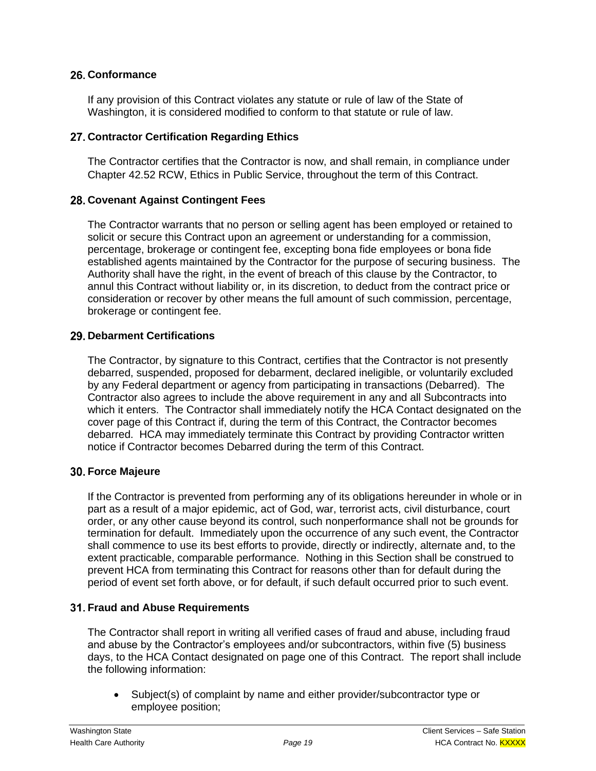## **Conformance**

If any provision of this Contract violates any statute or rule of law of the State of Washington, it is considered modified to conform to that statute or rule of law.

## **Contractor Certification Regarding Ethics**

The Contractor certifies that the Contractor is now, and shall remain, in compliance under Chapter 42.52 RCW, Ethics in Public Service, throughout the term of this Contract.

## **Covenant Against Contingent Fees**

The Contractor warrants that no person or selling agent has been employed or retained to solicit or secure this Contract upon an agreement or understanding for a commission, percentage, brokerage or contingent fee, excepting bona fide employees or bona fide established agents maintained by the Contractor for the purpose of securing business. The Authority shall have the right, in the event of breach of this clause by the Contractor, to annul this Contract without liability or, in its discretion, to deduct from the contract price or consideration or recover by other means the full amount of such commission, percentage, brokerage or contingent fee.

## **Debarment Certifications**

The Contractor, by signature to this Contract, certifies that the Contractor is not presently debarred, suspended, proposed for debarment, declared ineligible, or voluntarily excluded by any Federal department or agency from participating in transactions (Debarred). The Contractor also agrees to include the above requirement in any and all Subcontracts into which it enters. The Contractor shall immediately notify the HCA Contact designated on the cover page of this Contract if, during the term of this Contract, the Contractor becomes debarred. HCA may immediately terminate this Contract by providing Contractor written notice if Contractor becomes Debarred during the term of this Contract.

## **Force Majeure**

If the Contractor is prevented from performing any of its obligations hereunder in whole or in part as a result of a major epidemic, act of God, war, terrorist acts, civil disturbance, court order, or any other cause beyond its control, such nonperformance shall not be grounds for termination for default. Immediately upon the occurrence of any such event, the Contractor shall commence to use its best efforts to provide, directly or indirectly, alternate and, to the extent practicable, comparable performance. Nothing in this Section shall be construed to prevent HCA from terminating this Contract for reasons other than for default during the period of event set forth above, or for default, if such default occurred prior to such event.

# **Fraud and Abuse Requirements**

The Contractor shall report in writing all verified cases of fraud and abuse, including fraud and abuse by the Contractor's employees and/or subcontractors, within five (5) business days, to the HCA Contact designated on page one of this Contract. The report shall include the following information:

• Subject(s) of complaint by name and either provider/subcontractor type or employee position;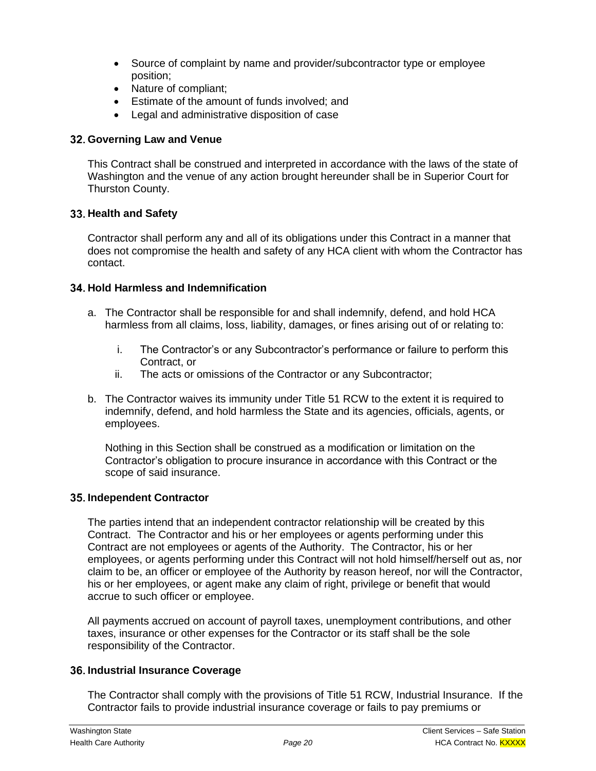- Source of complaint by name and provider/subcontractor type or employee position;
- Nature of compliant;
- Estimate of the amount of funds involved; and
- Legal and administrative disposition of case

## **Governing Law and Venue**

This Contract shall be construed and interpreted in accordance with the laws of the state of Washington and the venue of any action brought hereunder shall be in Superior Court for Thurston County.

## **Health and Safety**

Contractor shall perform any and all of its obligations under this Contract in a manner that does not compromise the health and safety of any HCA client with whom the Contractor has contact.

## **Hold Harmless and Indemnification**

- a. The Contractor shall be responsible for and shall indemnify, defend, and hold HCA harmless from all claims, loss, liability, damages, or fines arising out of or relating to:
	- i. The Contractor's or any Subcontractor's performance or failure to perform this Contract, or
	- ii. The acts or omissions of the Contractor or any Subcontractor;
- b. The Contractor waives its immunity under Title 51 RCW to the extent it is required to indemnify, defend, and hold harmless the State and its agencies, officials, agents, or employees.

Nothing in this Section shall be construed as a modification or limitation on the Contractor's obligation to procure insurance in accordance with this Contract or the scope of said insurance.

## **Independent Contractor**

The parties intend that an independent contractor relationship will be created by this Contract. The Contractor and his or her employees or agents performing under this Contract are not employees or agents of the Authority. The Contractor, his or her employees, or agents performing under this Contract will not hold himself/herself out as, nor claim to be, an officer or employee of the Authority by reason hereof, nor will the Contractor, his or her employees, or agent make any claim of right, privilege or benefit that would accrue to such officer or employee.

All payments accrued on account of payroll taxes, unemployment contributions, and other taxes, insurance or other expenses for the Contractor or its staff shall be the sole responsibility of the Contractor.

## **Industrial Insurance Coverage**

The Contractor shall comply with the provisions of Title 51 RCW, Industrial Insurance. If the Contractor fails to provide industrial insurance coverage or fails to pay premiums or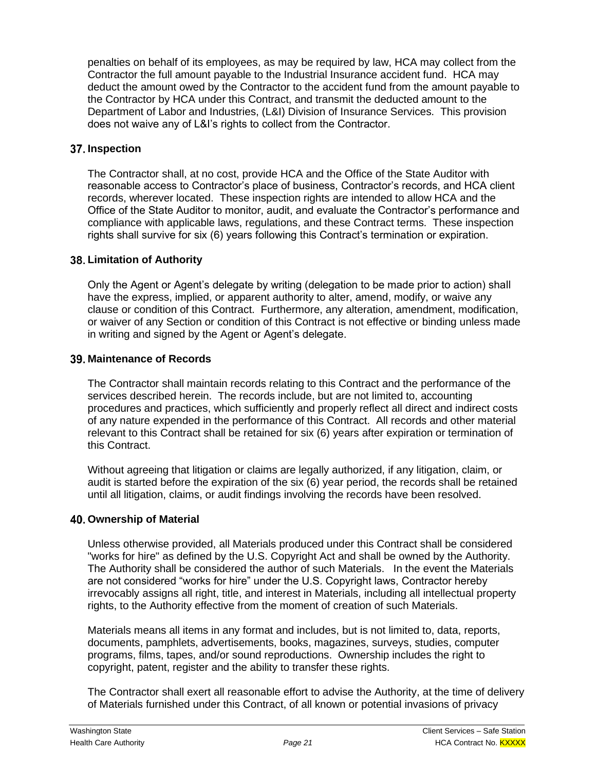penalties on behalf of its employees, as may be required by law, HCA may collect from the Contractor the full amount payable to the Industrial Insurance accident fund. HCA may deduct the amount owed by the Contractor to the accident fund from the amount payable to the Contractor by HCA under this Contract, and transmit the deducted amount to the Department of Labor and Industries, (L&I) Division of Insurance Services. This provision does not waive any of L&I's rights to collect from the Contractor.

#### **Inspection**

The Contractor shall, at no cost, provide HCA and the Office of the State Auditor with reasonable access to Contractor's place of business, Contractor's records, and HCA client records, wherever located. These inspection rights are intended to allow HCA and the Office of the State Auditor to monitor, audit, and evaluate the Contractor's performance and compliance with applicable laws, regulations, and these Contract terms. These inspection rights shall survive for six (6) years following this Contract's termination or expiration.

#### **Limitation of Authority**

Only the Agent or Agent's delegate by writing (delegation to be made prior to action) shall have the express, implied, or apparent authority to alter, amend, modify, or waive any clause or condition of this Contract. Furthermore, any alteration, amendment, modification, or waiver of any Section or condition of this Contract is not effective or binding unless made in writing and signed by the Agent or Agent's delegate.

#### **Maintenance of Records**

The Contractor shall maintain records relating to this Contract and the performance of the services described herein. The records include, but are not limited to, accounting procedures and practices, which sufficiently and properly reflect all direct and indirect costs of any nature expended in the performance of this Contract. All records and other material relevant to this Contract shall be retained for six (6) years after expiration or termination of this Contract.

Without agreeing that litigation or claims are legally authorized, if any litigation, claim, or audit is started before the expiration of the six (6) year period, the records shall be retained until all litigation, claims, or audit findings involving the records have been resolved.

#### **Ownership of Material**

Unless otherwise provided, all Materials produced under this Contract shall be considered "works for hire" as defined by the U.S. Copyright Act and shall be owned by the Authority. The Authority shall be considered the author of such Materials. In the event the Materials are not considered "works for hire" under the U.S. Copyright laws, Contractor hereby irrevocably assigns all right, title, and interest in Materials, including all intellectual property rights, to the Authority effective from the moment of creation of such Materials.

Materials means all items in any format and includes, but is not limited to, data, reports, documents, pamphlets, advertisements, books, magazines, surveys, studies, computer programs, films, tapes, and/or sound reproductions. Ownership includes the right to copyright, patent, register and the ability to transfer these rights.

The Contractor shall exert all reasonable effort to advise the Authority, at the time of delivery of Materials furnished under this Contract, of all known or potential invasions of privacy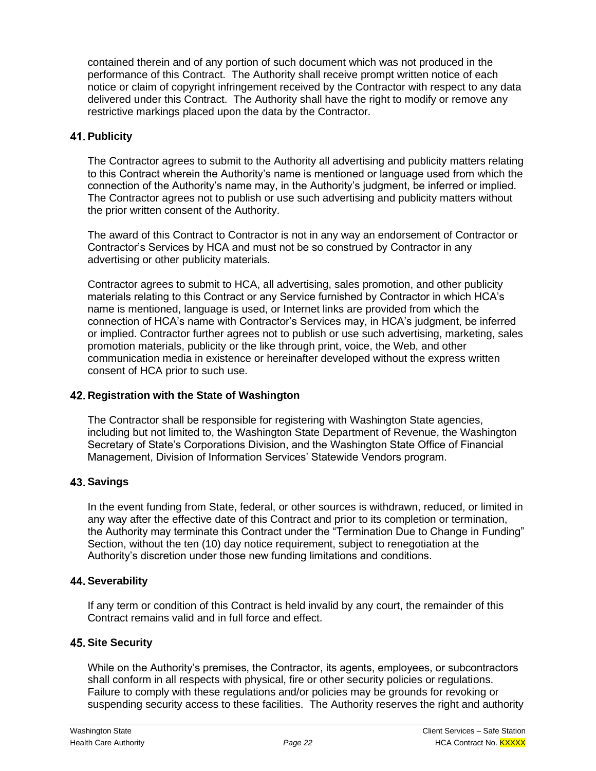contained therein and of any portion of such document which was not produced in the performance of this Contract. The Authority shall receive prompt written notice of each notice or claim of copyright infringement received by the Contractor with respect to any data delivered under this Contract. The Authority shall have the right to modify or remove any restrictive markings placed upon the data by the Contractor.

#### **41. Publicity**

The Contractor agrees to submit to the Authority all advertising and publicity matters relating to this Contract wherein the Authority's name is mentioned or language used from which the connection of the Authority's name may, in the Authority's judgment, be inferred or implied. The Contractor agrees not to publish or use such advertising and publicity matters without the prior written consent of the Authority.

The award of this Contract to Contractor is not in any way an endorsement of Contractor or Contractor's Services by HCA and must not be so construed by Contractor in any advertising or other publicity materials.

Contractor agrees to submit to HCA, all advertising, sales promotion, and other publicity materials relating to this Contract or any Service furnished by Contractor in which HCA's name is mentioned, language is used, or Internet links are provided from which the connection of HCA's name with Contractor's Services may, in HCA's judgment, be inferred or implied. Contractor further agrees not to publish or use such advertising, marketing, sales promotion materials, publicity or the like through print, voice, the Web, and other communication media in existence or hereinafter developed without the express written consent of HCA prior to such use.

#### **Registration with the State of Washington**

The Contractor shall be responsible for registering with Washington State agencies, including but not limited to, the Washington State Department of Revenue, the Washington Secretary of State's Corporations Division, and the Washington State Office of Financial Management, Division of Information Services' Statewide Vendors program.

## **43. Savings**

In the event funding from State, federal, or other sources is withdrawn, reduced, or limited in any way after the effective date of this Contract and prior to its completion or termination, the Authority may terminate this Contract under the "Termination Due to Change in Funding" Section, without the ten (10) day notice requirement, subject to renegotiation at the Authority's discretion under those new funding limitations and conditions.

#### **44. Severability**

If any term or condition of this Contract is held invalid by any court, the remainder of this Contract remains valid and in full force and effect.

## **45. Site Security**

While on the Authority's premises, the Contractor, its agents, employees, or subcontractors shall conform in all respects with physical, fire or other security policies or regulations. Failure to comply with these regulations and/or policies may be grounds for revoking or suspending security access to these facilities. The Authority reserves the right and authority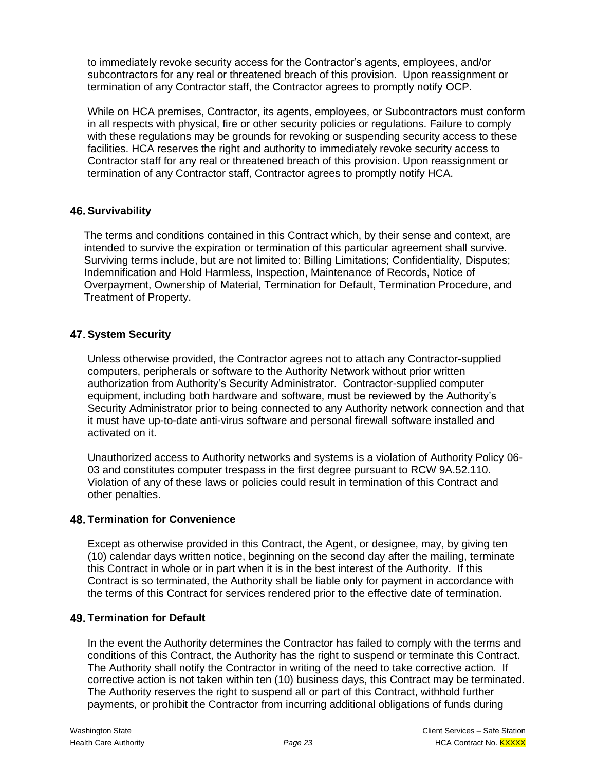to immediately revoke security access for the Contractor's agents, employees, and/or subcontractors for any real or threatened breach of this provision. Upon reassignment or termination of any Contractor staff, the Contractor agrees to promptly notify OCP.

While on HCA premises, Contractor, its agents, employees, or Subcontractors must conform in all respects with physical, fire or other security policies or regulations. Failure to comply with these regulations may be grounds for revoking or suspending security access to these facilities. HCA reserves the right and authority to immediately revoke security access to Contractor staff for any real or threatened breach of this provision. Upon reassignment or termination of any Contractor staff, Contractor agrees to promptly notify HCA.

## **46. Survivability**

The terms and conditions contained in this Contract which, by their sense and context, are intended to survive the expiration or termination of this particular agreement shall survive. Surviving terms include, but are not limited to: Billing Limitations; Confidentiality, Disputes; Indemnification and Hold Harmless, Inspection, Maintenance of Records, Notice of Overpayment, Ownership of Material, Termination for Default, Termination Procedure, and Treatment of Property.

# **47. System Security**

Unless otherwise provided, the Contractor agrees not to attach any Contractor-supplied computers, peripherals or software to the Authority Network without prior written authorization from Authority's Security Administrator. Contractor-supplied computer equipment, including both hardware and software, must be reviewed by the Authority's Security Administrator prior to being connected to any Authority network connection and that it must have up-to-date anti-virus software and personal firewall software installed and activated on it.

Unauthorized access to Authority networks and systems is a violation of Authority Policy 06- 03 and constitutes computer trespass in the first degree pursuant to RCW 9A.52.110. Violation of any of these laws or policies could result in termination of this Contract and other penalties.

## **48. Termination for Convenience**

Except as otherwise provided in this Contract, the Agent, or designee, may, by giving ten (10) calendar days written notice, beginning on the second day after the mailing, terminate this Contract in whole or in part when it is in the best interest of the Authority. If this Contract is so terminated, the Authority shall be liable only for payment in accordance with the terms of this Contract for services rendered prior to the effective date of termination.

## **49. Termination for Default**

In the event the Authority determines the Contractor has failed to comply with the terms and conditions of this Contract, the Authority has the right to suspend or terminate this Contract. The Authority shall notify the Contractor in writing of the need to take corrective action. If corrective action is not taken within ten (10) business days, this Contract may be terminated. The Authority reserves the right to suspend all or part of this Contract, withhold further payments, or prohibit the Contractor from incurring additional obligations of funds during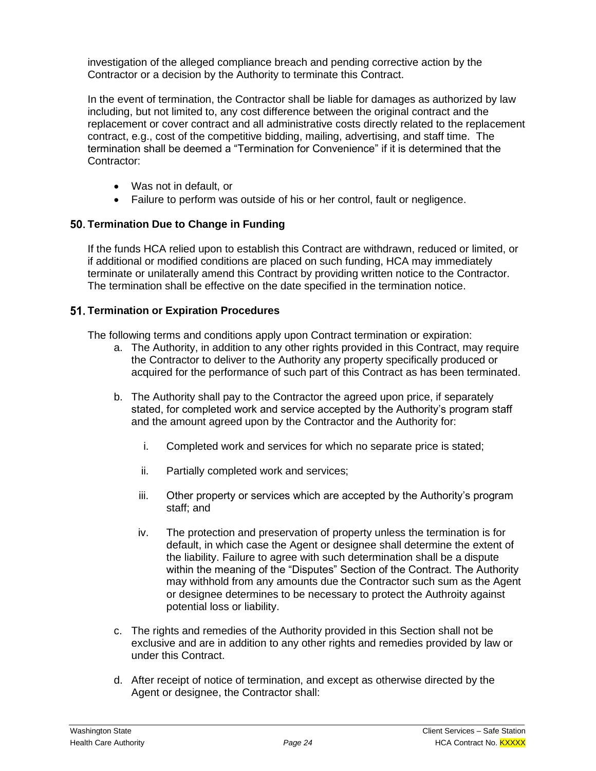investigation of the alleged compliance breach and pending corrective action by the Contractor or a decision by the Authority to terminate this Contract.

In the event of termination, the Contractor shall be liable for damages as authorized by law including, but not limited to, any cost difference between the original contract and the replacement or cover contract and all administrative costs directly related to the replacement contract, e.g., cost of the competitive bidding, mailing, advertising, and staff time. The termination shall be deemed a "Termination for Convenience" if it is determined that the Contractor:

- Was not in default, or
- Failure to perform was outside of his or her control, fault or negligence.

## **Termination Due to Change in Funding**

If the funds HCA relied upon to establish this Contract are withdrawn, reduced or limited, or if additional or modified conditions are placed on such funding, HCA may immediately terminate or unilaterally amend this Contract by providing written notice to the Contractor. The termination shall be effective on the date specified in the termination notice.

#### **Termination or Expiration Procedures**

The following terms and conditions apply upon Contract termination or expiration:

- a. The Authority, in addition to any other rights provided in this Contract, may require the Contractor to deliver to the Authority any property specifically produced or acquired for the performance of such part of this Contract as has been terminated.
- b. The Authority shall pay to the Contractor the agreed upon price, if separately stated, for completed work and service accepted by the Authority's program staff and the amount agreed upon by the Contractor and the Authority for:
	- i. Completed work and services for which no separate price is stated;
	- ii. Partially completed work and services;
	- iii. Other property or services which are accepted by the Authority's program staff; and
	- iv. The protection and preservation of property unless the termination is for default, in which case the Agent or designee shall determine the extent of the liability. Failure to agree with such determination shall be a dispute within the meaning of the "Disputes" Section of the Contract. The Authority may withhold from any amounts due the Contractor such sum as the Agent or designee determines to be necessary to protect the Authroity against potential loss or liability.
- c. The rights and remedies of the Authority provided in this Section shall not be exclusive and are in addition to any other rights and remedies provided by law or under this Contract.
- d. After receipt of notice of termination, and except as otherwise directed by the Agent or designee, the Contractor shall: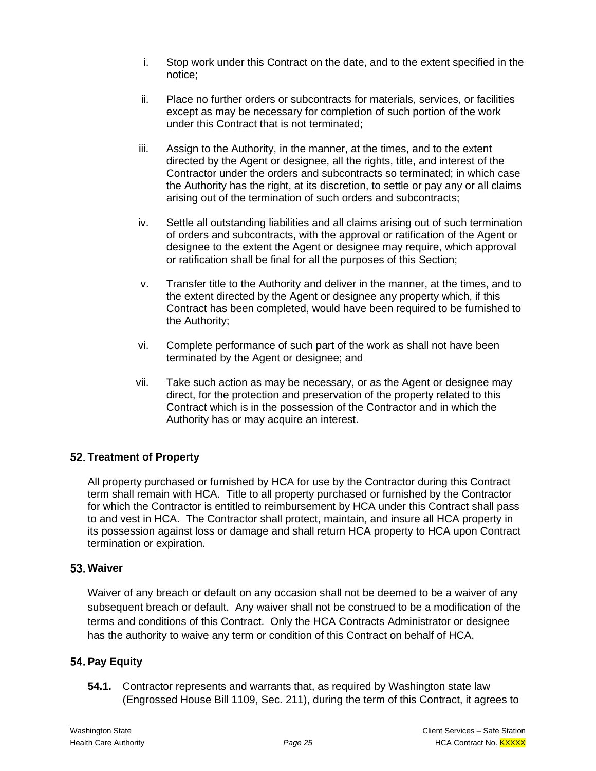- i. Stop work under this Contract on the date, and to the extent specified in the notice;
- ii. Place no further orders or subcontracts for materials, services, or facilities except as may be necessary for completion of such portion of the work under this Contract that is not terminated;
- iii. Assign to the Authority, in the manner, at the times, and to the extent directed by the Agent or designee, all the rights, title, and interest of the Contractor under the orders and subcontracts so terminated; in which case the Authority has the right, at its discretion, to settle or pay any or all claims arising out of the termination of such orders and subcontracts;
- iv. Settle all outstanding liabilities and all claims arising out of such termination of orders and subcontracts, with the approval or ratification of the Agent or designee to the extent the Agent or designee may require, which approval or ratification shall be final for all the purposes of this Section;
- v. Transfer title to the Authority and deliver in the manner, at the times, and to the extent directed by the Agent or designee any property which, if this Contract has been completed, would have been required to be furnished to the Authority;
- vi. Complete performance of such part of the work as shall not have been terminated by the Agent or designee; and
- vii. Take such action as may be necessary, or as the Agent or designee may direct, for the protection and preservation of the property related to this Contract which is in the possession of the Contractor and in which the Authority has or may acquire an interest.

# **Treatment of Property**

All property purchased or furnished by HCA for use by the Contractor during this Contract term shall remain with HCA. Title to all property purchased or furnished by the Contractor for which the Contractor is entitled to reimbursement by HCA under this Contract shall pass to and vest in HCA. The Contractor shall protect, maintain, and insure all HCA property in its possession against loss or damage and shall return HCA property to HCA upon Contract termination or expiration.

#### **Waiver**

Waiver of any breach or default on any occasion shall not be deemed to be a waiver of any subsequent breach or default. Any waiver shall not be construed to be a modification of the terms and conditions of this Contract. Only the HCA Contracts Administrator or designee has the authority to waive any term or condition of this Contract on behalf of HCA.

## **54. Pay Equity**

**54.1.** Contractor represents and warrants that, as required by Washington state law (Engrossed House Bill 1109, Sec. 211), during the term of this Contract, it agrees to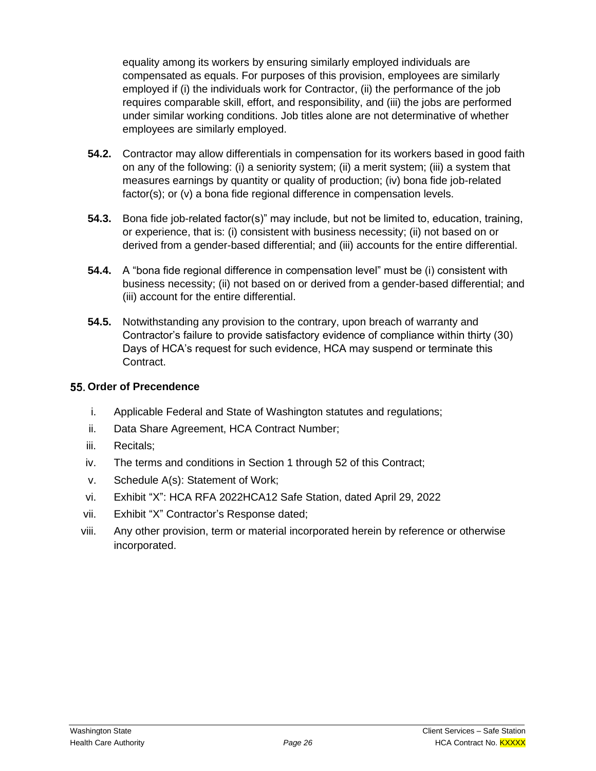equality among its workers by ensuring similarly employed individuals are compensated as equals. For purposes of this provision, employees are similarly employed if (i) the individuals work for Contractor, (ii) the performance of the job requires comparable skill, effort, and responsibility, and (iii) the jobs are performed under similar working conditions. Job titles alone are not determinative of whether employees are similarly employed.

- **54.2.** Contractor may allow differentials in compensation for its workers based in good faith on any of the following: (i) a seniority system; (ii) a merit system; (iii) a system that measures earnings by quantity or quality of production; (iv) bona fide job-related factor(s); or (v) a bona fide regional difference in compensation levels.
- **54.3.** Bona fide job-related factor(s)" may include, but not be limited to, education, training, or experience, that is: (i) consistent with business necessity; (ii) not based on or derived from a gender-based differential; and (iii) accounts for the entire differential.
- **54.4.** A "bona fide regional difference in compensation level" must be (i) consistent with business necessity; (ii) not based on or derived from a gender-based differential; and (iii) account for the entire differential.
- **54.5.** Notwithstanding any provision to the contrary, upon breach of warranty and Contractor's failure to provide satisfactory evidence of compliance within thirty (30) Days of HCA's request for such evidence, HCA may suspend or terminate this Contract.

## **55. Order of Precendence**

- i. Applicable Federal and State of Washington statutes and regulations;
- ii. Data Share Agreement, HCA Contract Number;
- iii. Recitals;
- iv. The terms and conditions in Section 1 through 52 of this Contract;
- v. Schedule A(s): Statement of Work;
- vi. Exhibit "X": HCA RFA 2022HCA12 Safe Station, dated April 29, 2022
- vii. Exhibit "X" Contractor's Response dated;
- viii. Any other provision, term or material incorporated herein by reference or otherwise incorporated.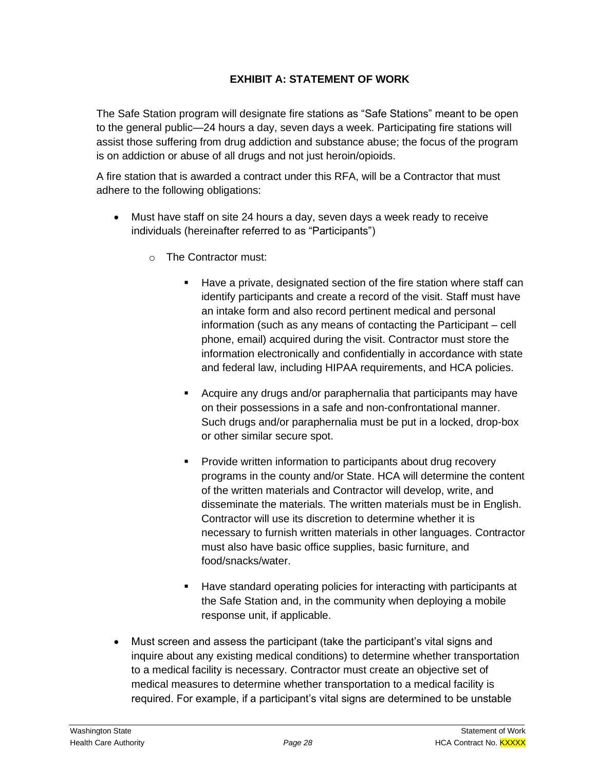# **EXHIBIT A: STATEMENT OF WORK**

The Safe Station program will designate fire stations as "Safe Stations" meant to be open to the general public—24 hours a day, seven days a week. Participating fire stations will assist those suffering from drug addiction and substance abuse; the focus of the program is on addiction or abuse of all drugs and not just heroin/opioids.

A fire station that is awarded a contract under this RFA, will be a Contractor that must adhere to the following obligations:

- Must have staff on site 24 hours a day, seven days a week ready to receive individuals (hereinafter referred to as "Participants")
	- o The Contractor must:
		- Have a private, designated section of the fire station where staff can identify participants and create a record of the visit. Staff must have an intake form and also record pertinent medical and personal information (such as any means of contacting the Participant – cell phone, email) acquired during the visit. Contractor must store the information electronically and confidentially in accordance with state and federal law, including HIPAA requirements, and HCA policies.
		- Acquire any drugs and/or paraphernalia that participants may have on their possessions in a safe and non-confrontational manner. Such drugs and/or paraphernalia must be put in a locked, drop-box or other similar secure spot.
		- Provide written information to participants about drug recovery programs in the county and/or State. HCA will determine the content of the written materials and Contractor will develop, write, and disseminate the materials. The written materials must be in English. Contractor will use its discretion to determine whether it is necessary to furnish written materials in other languages. Contractor must also have basic office supplies, basic furniture, and food/snacks/water.
		- Have standard operating policies for interacting with participants at the Safe Station and, in the community when deploying a mobile response unit, if applicable.
- Must screen and assess the participant (take the participant's vital signs and inquire about any existing medical conditions) to determine whether transportation to a medical facility is necessary. Contractor must create an objective set of medical measures to determine whether transportation to a medical facility is required. For example, if a participant's vital signs are determined to be unstable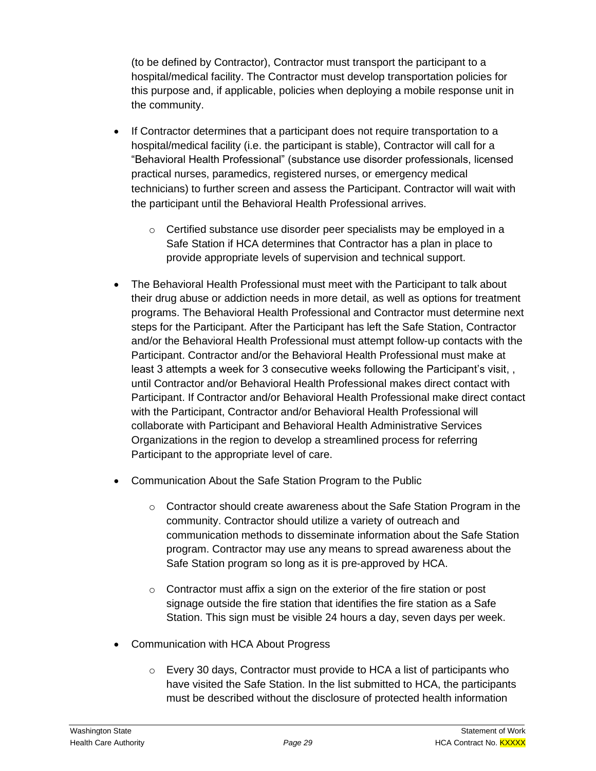(to be defined by Contractor), Contractor must transport the participant to a hospital/medical facility. The Contractor must develop transportation policies for this purpose and, if applicable, policies when deploying a mobile response unit in the community.

- If Contractor determines that a participant does not require transportation to a hospital/medical facility (i.e. the participant is stable), Contractor will call for a "Behavioral Health Professional" (substance use disorder professionals, licensed practical nurses, paramedics, registered nurses, or emergency medical technicians) to further screen and assess the Participant. Contractor will wait with the participant until the Behavioral Health Professional arrives.
	- o Certified substance use disorder peer specialists may be employed in a Safe Station if HCA determines that Contractor has a plan in place to provide appropriate levels of supervision and technical support.
- The Behavioral Health Professional must meet with the Participant to talk about their drug abuse or addiction needs in more detail, as well as options for treatment programs. The Behavioral Health Professional and Contractor must determine next steps for the Participant. After the Participant has left the Safe Station, Contractor and/or the Behavioral Health Professional must attempt follow-up contacts with the Participant. Contractor and/or the Behavioral Health Professional must make at least 3 attempts a week for 3 consecutive weeks following the Participant's visit, , until Contractor and/or Behavioral Health Professional makes direct contact with Participant. If Contractor and/or Behavioral Health Professional make direct contact with the Participant, Contractor and/or Behavioral Health Professional will collaborate with Participant and Behavioral Health Administrative Services Organizations in the region to develop a streamlined process for referring Participant to the appropriate level of care.
- Communication About the Safe Station Program to the Public
	- $\circ$  Contractor should create awareness about the Safe Station Program in the community. Contractor should utilize a variety of outreach and communication methods to disseminate information about the Safe Station program. Contractor may use any means to spread awareness about the Safe Station program so long as it is pre-approved by HCA.
	- o Contractor must affix a sign on the exterior of the fire station or post signage outside the fire station that identifies the fire station as a Safe Station. This sign must be visible 24 hours a day, seven days per week.
- Communication with HCA About Progress
	- $\circ$  Every 30 days, Contractor must provide to HCA a list of participants who have visited the Safe Station. In the list submitted to HCA, the participants must be described without the disclosure of protected health information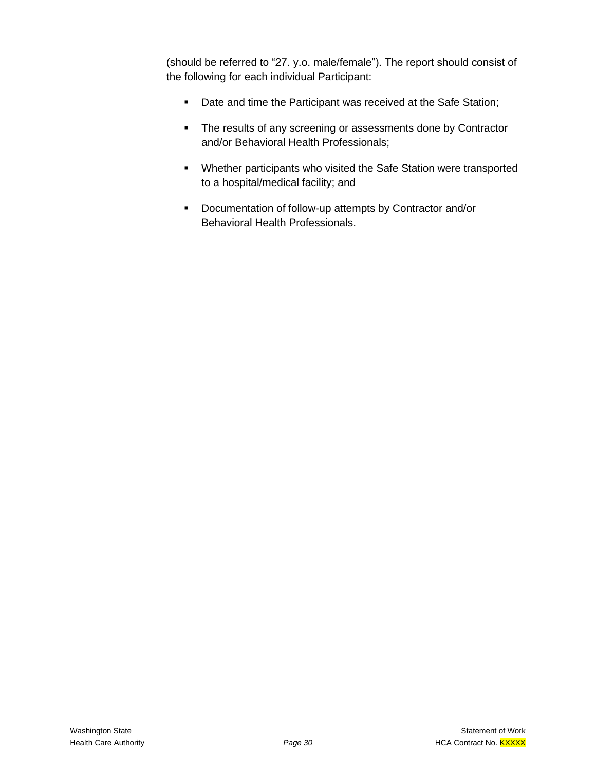(should be referred to "27. y.o. male/female"). The report should consist of the following for each individual Participant:

- Date and time the Participant was received at the Safe Station;
- **•** The results of any screening or assessments done by Contractor and/or Behavioral Health Professionals;
- Whether participants who visited the Safe Station were transported to a hospital/medical facility; and
- Documentation of follow-up attempts by Contractor and/or Behavioral Health Professionals.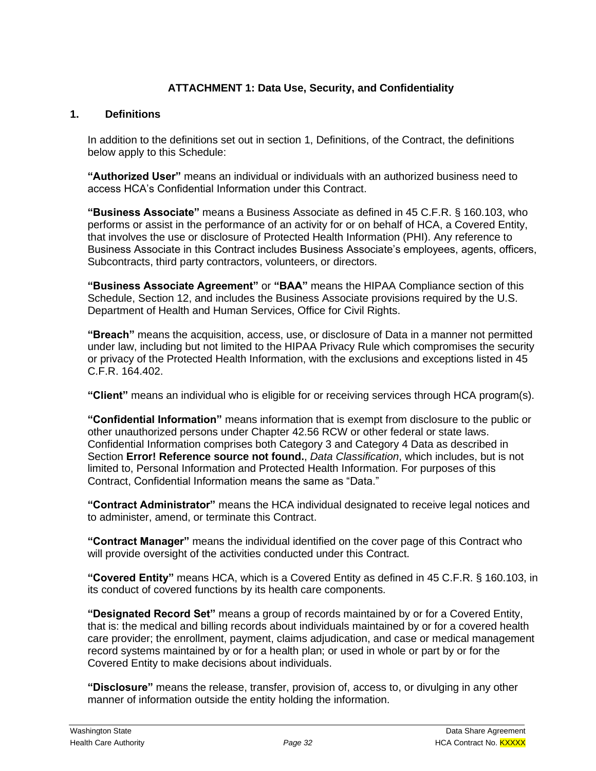# **ATTACHMENT 1: Data Use, Security, and Confidentiality**

#### **1. Definitions**

In addition to the definitions set out in section 1, Definitions, of the Contract, the definitions below apply to this Schedule:

**"Authorized User"** means an individual or individuals with an authorized business need to access HCA's Confidential Information under this Contract.

**"Business Associate"** means a Business Associate as defined in 45 C.F.R. § 160.103, who performs or assist in the performance of an activity for or on behalf of HCA, a Covered Entity, that involves the use or disclosure of Protected Health Information (PHI). Any reference to Business Associate in this Contract includes Business Associate's employees, agents, officers, Subcontracts, third party contractors, volunteers, or directors.

**"Business Associate Agreement"** or **"BAA"** means the HIPAA Compliance section of this Schedule, Section 12, and includes the Business Associate provisions required by the U.S. Department of Health and Human Services, Office for Civil Rights.

**"Breach"** means the acquisition, access, use, or disclosure of Data in a manner not permitted under law, including but not limited to the HIPAA Privacy Rule which compromises the security or privacy of the Protected Health Information, with the exclusions and exceptions listed in 45 C.F.R. 164.402.

**"Client"** means an individual who is eligible for or receiving services through HCA program(s).

**"Confidential Information"** means information that is exempt from disclosure to the public or other unauthorized persons under Chapter 42.56 RCW or other federal or state laws. Confidential Information comprises both Category 3 and Category 4 Data as described in Section **Error! Reference source not found.**, *Data Classification*, which includes, but is not limited to, Personal Information and Protected Health Information. For purposes of this Contract, Confidential Information means the same as "Data."

**"Contract Administrator"** means the HCA individual designated to receive legal notices and to administer, amend, or terminate this Contract.

**"Contract Manager"** means the individual identified on the cover page of this Contract who will provide oversight of the activities conducted under this Contract.

**"Covered Entity"** means HCA, which is a Covered Entity as defined in 45 C.F.R. § 160.103, in its conduct of covered functions by its health care components.

**"Designated Record Set"** means a group of records maintained by or for a Covered Entity, that is: the medical and billing records about individuals maintained by or for a covered health care provider; the enrollment, payment, claims adjudication, and case or medical management record systems maintained by or for a health plan; or used in whole or part by or for the Covered Entity to make decisions about individuals.

**"Disclosure"** means the release, transfer, provision of, access to, or divulging in any other manner of information outside the entity holding the information.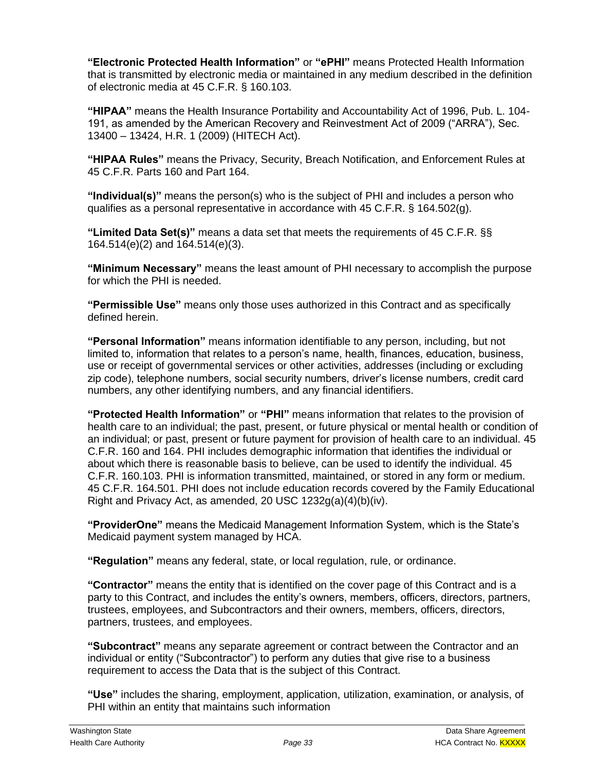**"Electronic Protected Health Information"** or **"ePHI"** means Protected Health Information that is transmitted by electronic media or maintained in any medium described in the definition of electronic media at 45 C.F.R. § 160.103.

**"HIPAA"** means the Health Insurance Portability and Accountability Act of 1996, Pub. L. 104- 191, as amended by the American Recovery and Reinvestment Act of 2009 ("ARRA"), Sec. 13400 – 13424, H.R. 1 (2009) (HITECH Act).

**"HIPAA Rules"** means the Privacy, Security, Breach Notification, and Enforcement Rules at 45 C.F.R. Parts 160 and Part 164.

**"Individual(s)"** means the person(s) who is the subject of PHI and includes a person who qualifies as a personal representative in accordance with 45 C.F.R. § 164.502(g).

**"Limited Data Set(s)"** means a data set that meets the requirements of 45 C.F.R. §§ 164.514(e)(2) and 164.514(e)(3).

**"Minimum Necessary"** means the least amount of PHI necessary to accomplish the purpose for which the PHI is needed.

**"Permissible Use"** means only those uses authorized in this Contract and as specifically defined herein.

**"Personal Information"** means information identifiable to any person, including, but not limited to, information that relates to a person's name, health, finances, education, business, use or receipt of governmental services or other activities, addresses (including or excluding zip code), telephone numbers, social security numbers, driver's license numbers, credit card numbers, any other identifying numbers, and any financial identifiers.

**"Protected Health Information"** or **"PHI"** means information that relates to the provision of health care to an individual; the past, present, or future physical or mental health or condition of an individual; or past, present or future payment for provision of health care to an individual. 45 C.F.R. 160 and 164. PHI includes demographic information that identifies the individual or about which there is reasonable basis to believe, can be used to identify the individual. 45 C.F.R. 160.103. PHI is information transmitted, maintained, or stored in any form or medium. 45 C.F.R. 164.501. PHI does not include education records covered by the Family Educational Right and Privacy Act, as amended, 20 USC 1232g(a)(4)(b)(iv).

**"ProviderOne"** means the Medicaid Management Information System, which is the State's Medicaid payment system managed by HCA.

**"Regulation"** means any federal, state, or local regulation, rule, or ordinance.

**"Contractor"** means the entity that is identified on the cover page of this Contract and is a party to this Contract, and includes the entity's owners, members, officers, directors, partners, trustees, employees, and Subcontractors and their owners, members, officers, directors, partners, trustees, and employees.

**"Subcontract"** means any separate agreement or contract between the Contractor and an individual or entity ("Subcontractor") to perform any duties that give rise to a business requirement to access the Data that is the subject of this Contract.

**"Use"** includes the sharing, employment, application, utilization, examination, or analysis, of PHI within an entity that maintains such information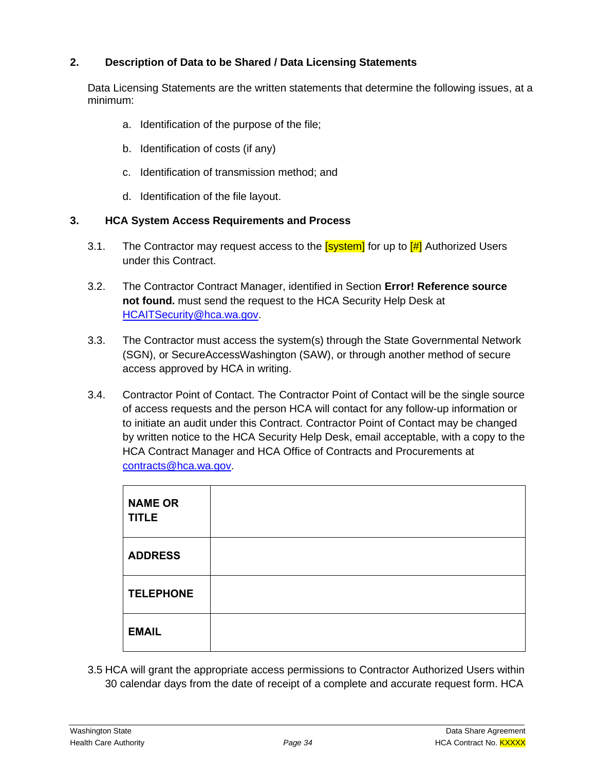## **2. Description of Data to be Shared / Data Licensing Statements**

Data Licensing Statements are the written statements that determine the following issues, at a minimum:

- a. Identification of the purpose of the file;
- b. Identification of costs (if any)
- c. Identification of transmission method; and
- d. Identification of the file layout.

#### **3. HCA System Access Requirements and Process**

- 3.1. The Contractor may request access to the  $\frac{1}{2}$  for up to  $\frac{1}{2}$  Authorized Users under this Contract.
- 3.2. The Contractor Contract Manager, identified in Section **Error! Reference source not found.** must send the request to the HCA Security Help Desk at [HCAITSecurity@hca.wa.gov.](mailto:HCAITSecurity@hca.wa.gov)
- 3.3. The Contractor must access the system(s) through the State Governmental Network (SGN), or SecureAccessWashington (SAW), or through another method of secure access approved by HCA in writing.
- 3.4. Contractor Point of Contact. The Contractor Point of Contact will be the single source of access requests and the person HCA will contact for any follow-up information or to initiate an audit under this Contract. Contractor Point of Contact may be changed by written notice to the HCA Security Help Desk, email acceptable, with a copy to the HCA Contract Manager and HCA Office of Contracts and Procurements at [contracts@hca.wa.gov.](mailto:contracts@hca.wa.gov)

| <b>NAME OR</b><br><b>TITLE</b> |  |
|--------------------------------|--|
| <b>ADDRESS</b>                 |  |
| <b>TELEPHONE</b>               |  |
| <b>EMAIL</b>                   |  |

3.5 HCA will grant the appropriate access permissions to Contractor Authorized Users within 30 calendar days from the date of receipt of a complete and accurate request form. HCA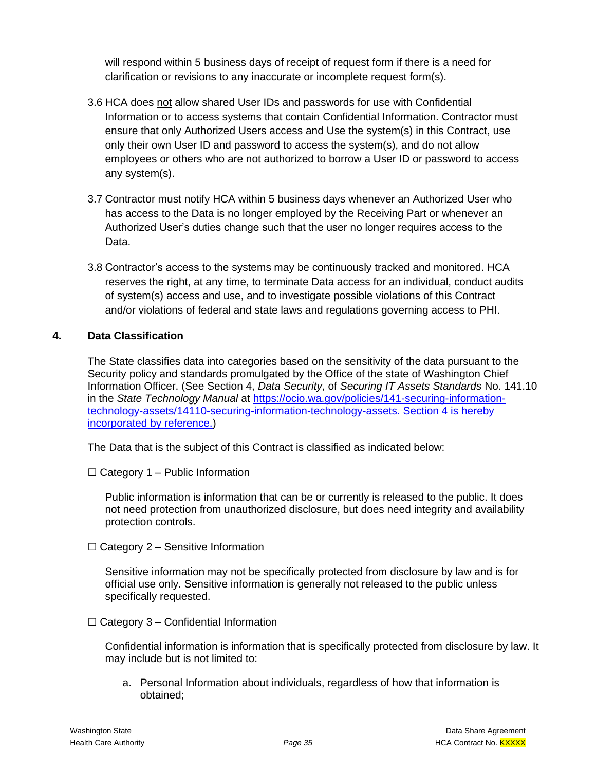will respond within 5 business days of receipt of request form if there is a need for clarification or revisions to any inaccurate or incomplete request form(s).

- 3.6 HCA does not allow shared User IDs and passwords for use with Confidential Information or to access systems that contain Confidential Information. Contractor must ensure that only Authorized Users access and Use the system(s) in this Contract, use only their own User ID and password to access the system(s), and do not allow employees or others who are not authorized to borrow a User ID or password to access any system(s).
- 3.7 Contractor must notify HCA within 5 business days whenever an Authorized User who has access to the Data is no longer employed by the Receiving Part or whenever an Authorized User's duties change such that the user no longer requires access to the Data.
- 3.8 Contractor's access to the systems may be continuously tracked and monitored. HCA reserves the right, at any time, to terminate Data access for an individual, conduct audits of system(s) access and use, and to investigate possible violations of this Contract and/or violations of federal and state laws and regulations governing access to PHI.

# **4. Data Classification**

The State classifies data into categories based on the sensitivity of the data pursuant to the Security policy and standards promulgated by the Office of the state of Washington Chief Information Officer. (See Section 4, *Data Security*, of *Securing IT Assets Standards* No. 141.10 in the *State Technology Manual* at [https://ocio.wa.gov/policies/141-securing-information](https://ocio.wa.gov/policies/141-securing-information-technology-assets/14110-securing-information-technology-assets)[technology-assets/14110-securing-information-technology-assets.](https://ocio.wa.gov/policies/141-securing-information-technology-assets/14110-securing-information-technology-assets) Section 4 is hereby incorporated by reference.)

The Data that is the subject of this Contract is classified as indicated below:

 $\Box$  Category 1 – Public Information

Public information is information that can be or currently is released to the public. It does not need protection from unauthorized disclosure, but does need integrity and availability protection controls.

 $\Box$  Category 2 – Sensitive Information

Sensitive information may not be specifically protected from disclosure by law and is for official use only. Sensitive information is generally not released to the public unless specifically requested.

 $\Box$  Category 3 – Confidential Information

Confidential information is information that is specifically protected from disclosure by law. It may include but is not limited to:

a. Personal Information about individuals, regardless of how that information is obtained;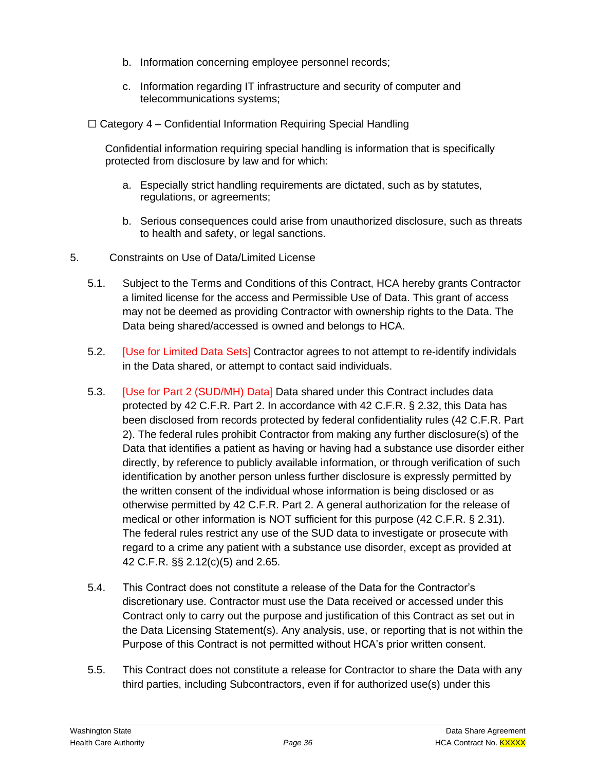- b. Information concerning employee personnel records;
- c. Information regarding IT infrastructure and security of computer and telecommunications systems;
- $\Box$  Category 4 Confidential Information Requiring Special Handling

Confidential information requiring special handling is information that is specifically protected from disclosure by law and for which:

- a. Especially strict handling requirements are dictated, such as by statutes, regulations, or agreements;
- b. Serious consequences could arise from unauthorized disclosure, such as threats to health and safety, or legal sanctions.
- 5. Constraints on Use of Data/Limited License
	- 5.1. Subject to the Terms and Conditions of this Contract, HCA hereby grants Contractor a limited license for the access and Permissible Use of Data. This grant of access may not be deemed as providing Contractor with ownership rights to the Data. The Data being shared/accessed is owned and belongs to HCA.
	- 5.2. [Use for Limited Data Sets] Contractor agrees to not attempt to re-identify individals in the Data shared, or attempt to contact said individuals.
	- 5.3. [Use for Part 2 (SUD/MH) Data] Data shared under this Contract includes data protected by 42 C.F.R. Part 2. In accordance with 42 C.F.R. § 2.32, this Data has been disclosed from records protected by federal confidentiality rules (42 C.F.R. Part 2). The federal rules prohibit Contractor from making any further disclosure(s) of the Data that identifies a patient as having or having had a substance use disorder either directly, by reference to publicly available information, or through verification of such identification by another person unless further disclosure is expressly permitted by the written consent of the individual whose information is being disclosed or as otherwise permitted by 42 C.F.R. Part 2. A general authorization for the release of medical or other information is NOT sufficient for this purpose (42 C.F.R. § 2.31). The federal rules restrict any use of the SUD data to investigate or prosecute with regard to a crime any patient with a substance use disorder, except as provided at 42 C.F.R. §§ 2.12(c)(5) and 2.65.
	- 5.4. This Contract does not constitute a release of the Data for the Contractor's discretionary use. Contractor must use the Data received or accessed under this Contract only to carry out the purpose and justification of this Contract as set out in the Data Licensing Statement(s). Any analysis, use, or reporting that is not within the Purpose of this Contract is not permitted without HCA's prior written consent.
	- 5.5. This Contract does not constitute a release for Contractor to share the Data with any third parties, including Subcontractors, even if for authorized use(s) under this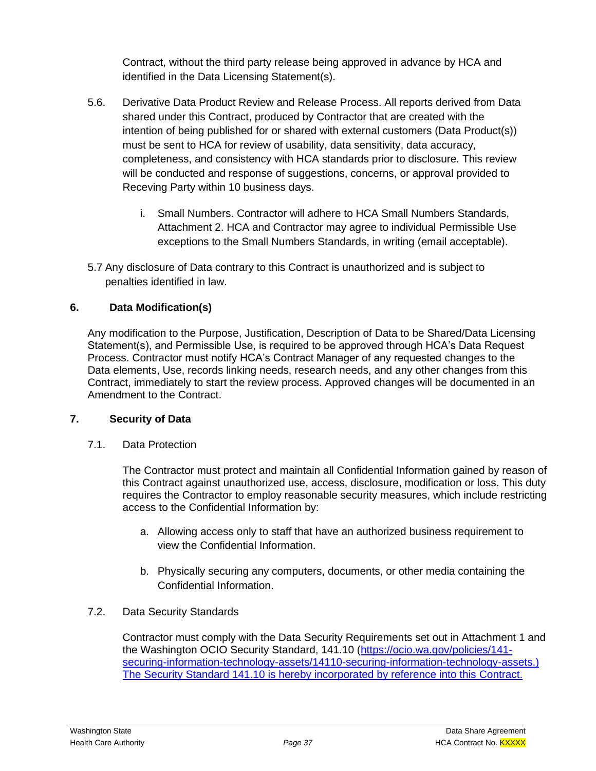Contract, without the third party release being approved in advance by HCA and identified in the Data Licensing Statement(s).

- 5.6. Derivative Data Product Review and Release Process. All reports derived from Data shared under this Contract, produced by Contractor that are created with the intention of being published for or shared with external customers (Data Product(s)) must be sent to HCA for review of usability, data sensitivity, data accuracy, completeness, and consistency with HCA standards prior to disclosure. This review will be conducted and response of suggestions, concerns, or approval provided to Receving Party within 10 business days.
	- i. Small Numbers. Contractor will adhere to HCA Small Numbers Standards, Attachment 2. HCA and Contractor may agree to individual Permissible Use exceptions to the Small Numbers Standards, in writing (email acceptable).
- 5.7 Any disclosure of Data contrary to this Contract is unauthorized and is subject to penalties identified in law.

# **6. Data Modification(s)**

Any modification to the Purpose, Justification, Description of Data to be Shared/Data Licensing Statement(s), and Permissible Use, is required to be approved through HCA's Data Request Process. Contractor must notify HCA's Contract Manager of any requested changes to the Data elements, Use, records linking needs, research needs, and any other changes from this Contract, immediately to start the review process. Approved changes will be documented in an Amendment to the Contract.

## **7. Security of Data**

7.1. Data Protection

The Contractor must protect and maintain all Confidential Information gained by reason of this Contract against unauthorized use, access, disclosure, modification or loss. This duty requires the Contractor to employ reasonable security measures, which include restricting access to the Confidential Information by:

- a. Allowing access only to staff that have an authorized business requirement to view the Confidential Information.
- b. Physically securing any computers, documents, or other media containing the Confidential Information.
- 7.2. Data Security Standards

Contractor must comply with the Data Security Requirements set out in Attachment 1 and the Washington OCIO Security Standard, 141.10 [\(https://ocio.wa.gov/policies/141](https://ocio.wa.gov/policies/141-securing-information-technology-assets/14110-securing-information-technology-assets) [securing-information-technology-assets/14110-securing-information-technology-assets.](https://ocio.wa.gov/policies/141-securing-information-technology-assets/14110-securing-information-technology-assets)) The Security Standard 141.10 is hereby incorporated by reference into this Contract.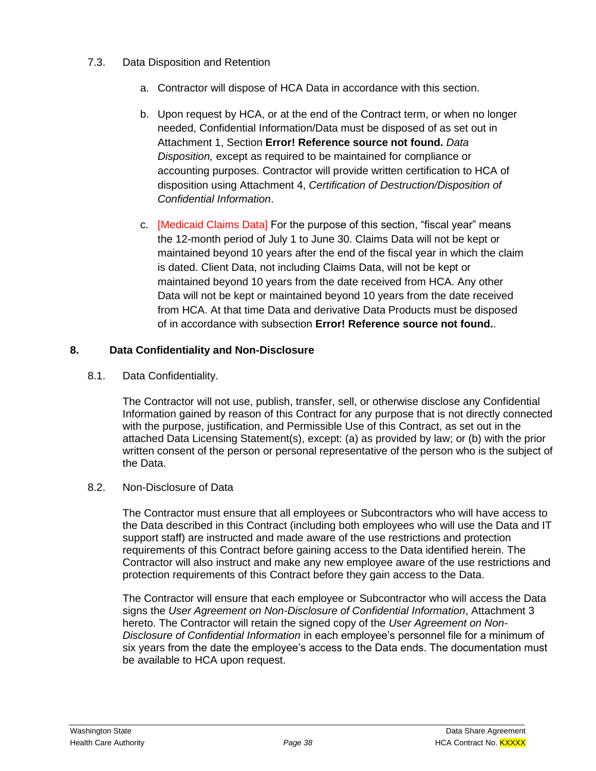- 7.3. Data Disposition and Retention
	- a. Contractor will dispose of HCA Data in accordance with this section.
	- b. Upon request by HCA, or at the end of the Contract term, or when no longer needed, Confidential Information/Data must be disposed of as set out in Attachment 1, Section **Error! Reference source not found.** *Data Disposition,* except as required to be maintained for compliance or accounting purposes. Contractor will provide written certification to HCA of disposition using Attachment 4, *Certification of Destruction/Disposition of Confidential Information*.
	- c. [Medicaid Claims Data] For the purpose of this section, "fiscal year" means the 12-month period of July 1 to June 30. Claims Data will not be kept or maintained beyond 10 years after the end of the fiscal year in which the claim is dated. Client Data, not including Claims Data, will not be kept or maintained beyond 10 years from the date received from HCA. Any other Data will not be kept or maintained beyond 10 years from the date received from HCA. At that time Data and derivative Data Products must be disposed of in accordance with subsection **Error! Reference source not found.**.

## **8. Data Confidentiality and Non-Disclosure**

8.1. Data Confidentiality.

The Contractor will not use, publish, transfer, sell, or otherwise disclose any Confidential Information gained by reason of this Contract for any purpose that is not directly connected with the purpose, justification, and Permissible Use of this Contract, as set out in the attached Data Licensing Statement(s), except: (a) as provided by law; or (b) with the prior written consent of the person or personal representative of the person who is the subject of the Data.

#### 8.2. Non-Disclosure of Data

The Contractor must ensure that all employees or Subcontractors who will have access to the Data described in this Contract (including both employees who will use the Data and IT support staff) are instructed and made aware of the use restrictions and protection requirements of this Contract before gaining access to the Data identified herein. The Contractor will also instruct and make any new employee aware of the use restrictions and protection requirements of this Contract before they gain access to the Data.

The Contractor will ensure that each employee or Subcontractor who will access the Data signs the *User Agreement on Non-Disclosure of Confidential Information*, Attachment 3 hereto. The Contractor will retain the signed copy of the *User Agreement on Non-Disclosure of Confidential Information* in each employee's personnel file for a minimum of six years from the date the employee's access to the Data ends. The documentation must be available to HCA upon request.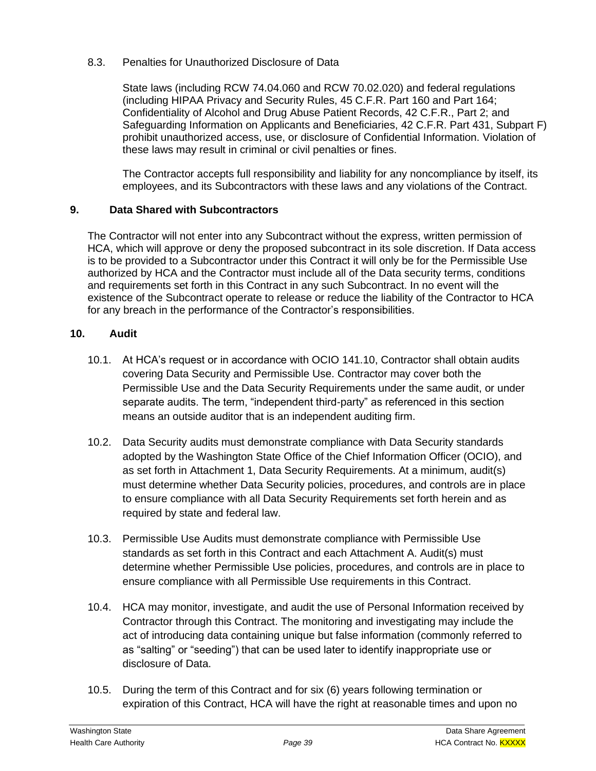8.3. Penalties for Unauthorized Disclosure of Data

State laws (including RCW 74.04.060 and RCW 70.02.020) and federal regulations (including HIPAA Privacy and Security Rules, 45 C.F.R. Part 160 and Part 164; Confidentiality of Alcohol and Drug Abuse Patient Records, 42 C.F.R., Part 2; and Safeguarding Information on Applicants and Beneficiaries, 42 C.F.R. Part 431, Subpart F) prohibit unauthorized access, use, or disclosure of Confidential Information. Violation of these laws may result in criminal or civil penalties or fines.

The Contractor accepts full responsibility and liability for any noncompliance by itself, its employees, and its Subcontractors with these laws and any violations of the Contract.

## **9. Data Shared with Subcontractors**

The Contractor will not enter into any Subcontract without the express, written permission of HCA, which will approve or deny the proposed subcontract in its sole discretion. If Data access is to be provided to a Subcontractor under this Contract it will only be for the Permissible Use authorized by HCA and the Contractor must include all of the Data security terms, conditions and requirements set forth in this Contract in any such Subcontract. In no event will the existence of the Subcontract operate to release or reduce the liability of the Contractor to HCA for any breach in the performance of the Contractor's responsibilities.

#### **10. Audit**

- 10.1. At HCA's request or in accordance with OCIO 141.10, Contractor shall obtain audits covering Data Security and Permissible Use. Contractor may cover both the Permissible Use and the Data Security Requirements under the same audit, or under separate audits. The term, "independent third-party" as referenced in this section means an outside auditor that is an independent auditing firm.
- 10.2. Data Security audits must demonstrate compliance with Data Security standards adopted by the Washington State Office of the Chief Information Officer (OCIO), and as set forth in Attachment 1, Data Security Requirements. At a minimum, audit(s) must determine whether Data Security policies, procedures, and controls are in place to ensure compliance with all Data Security Requirements set forth herein and as required by state and federal law.
- 10.3. Permissible Use Audits must demonstrate compliance with Permissible Use standards as set forth in this Contract and each Attachment A. Audit(s) must determine whether Permissible Use policies, procedures, and controls are in place to ensure compliance with all Permissible Use requirements in this Contract.
- 10.4. HCA may monitor, investigate, and audit the use of Personal Information received by Contractor through this Contract. The monitoring and investigating may include the act of introducing data containing unique but false information (commonly referred to as "salting" or "seeding") that can be used later to identify inappropriate use or disclosure of Data.
- 10.5. During the term of this Contract and for six (6) years following termination or expiration of this Contract, HCA will have the right at reasonable times and upon no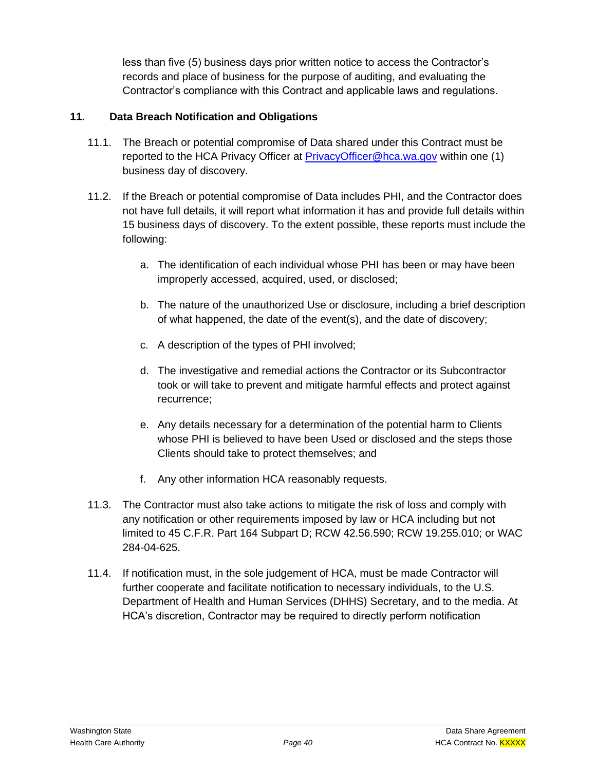less than five (5) business days prior written notice to access the Contractor's records and place of business for the purpose of auditing, and evaluating the Contractor's compliance with this Contract and applicable laws and regulations.

# **11. Data Breach Notification and Obligations**

- 11.1. The Breach or potential compromise of Data shared under this Contract must be reported to the HCA Privacy Officer at **PrivacyOfficer@hca.wa.gov within one (1)** business day of discovery.
- 11.2. If the Breach or potential compromise of Data includes PHI, and the Contractor does not have full details, it will report what information it has and provide full details within 15 business days of discovery. To the extent possible, these reports must include the following:
	- a. The identification of each individual whose PHI has been or may have been improperly accessed, acquired, used, or disclosed;
	- b. The nature of the unauthorized Use or disclosure, including a brief description of what happened, the date of the event(s), and the date of discovery;
	- c. A description of the types of PHI involved;
	- d. The investigative and remedial actions the Contractor or its Subcontractor took or will take to prevent and mitigate harmful effects and protect against recurrence;
	- e. Any details necessary for a determination of the potential harm to Clients whose PHI is believed to have been Used or disclosed and the steps those Clients should take to protect themselves; and
	- f. Any other information HCA reasonably requests.
- 11.3. The Contractor must also take actions to mitigate the risk of loss and comply with any notification or other requirements imposed by law or HCA including but not limited to 45 C.F.R. Part 164 Subpart D; RCW 42.56.590; RCW 19.255.010; or WAC 284-04-625.
- 11.4. If notification must, in the sole judgement of HCA, must be made Contractor will further cooperate and facilitate notification to necessary individuals, to the U.S. Department of Health and Human Services (DHHS) Secretary, and to the media. At HCA's discretion, Contractor may be required to directly perform notification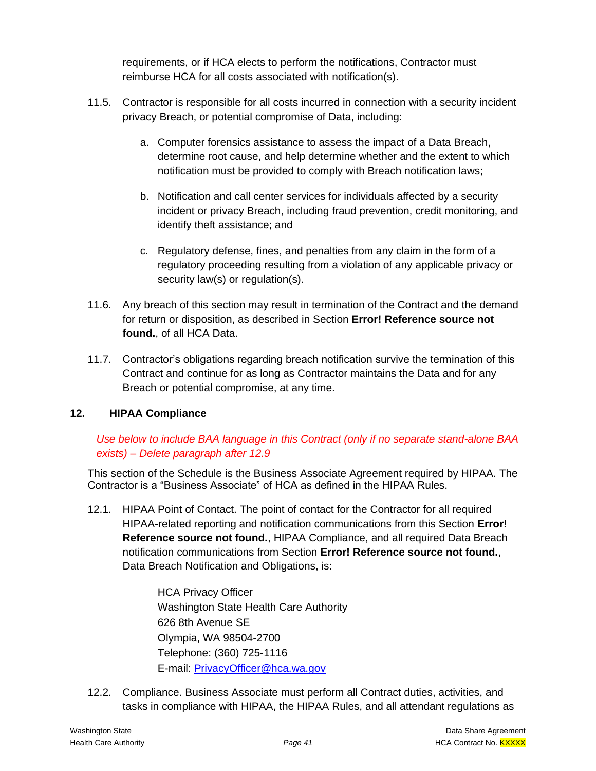requirements, or if HCA elects to perform the notifications, Contractor must reimburse HCA for all costs associated with notification(s).

- 11.5. Contractor is responsible for all costs incurred in connection with a security incident privacy Breach, or potential compromise of Data, including:
	- a. Computer forensics assistance to assess the impact of a Data Breach, determine root cause, and help determine whether and the extent to which notification must be provided to comply with Breach notification laws;
	- b. Notification and call center services for individuals affected by a security incident or privacy Breach, including fraud prevention, credit monitoring, and identify theft assistance; and
	- c. Regulatory defense, fines, and penalties from any claim in the form of a regulatory proceeding resulting from a violation of any applicable privacy or security law(s) or regulation(s).
- 11.6. Any breach of this section may result in termination of the Contract and the demand for return or disposition, as described in Section **Error! Reference source not found.**, of all HCA Data.
- 11.7. Contractor's obligations regarding breach notification survive the termination of this Contract and continue for as long as Contractor maintains the Data and for any Breach or potential compromise, at any time.

# **12. HIPAA Compliance**

# *Use below to include BAA language in this Contract (only if no separate stand-alone BAA exists) – Delete paragraph after 12.9*

This section of the Schedule is the Business Associate Agreement required by HIPAA. The Contractor is a "Business Associate" of HCA as defined in the HIPAA Rules.

12.1. HIPAA Point of Contact. The point of contact for the Contractor for all required HIPAA-related reporting and notification communications from this Section **Error! Reference source not found.**, HIPAA Compliance, and all required Data Breach notification communications from Section **Error! Reference source not found.**, Data Breach Notification and Obligations, is:

> HCA Privacy Officer Washington State Health Care Authority 626 8th Avenue SE Olympia, WA 98504-2700 Telephone: (360) 725-1116 E-mail: [PrivacyOfficer@hca.wa.gov](mailto:PrivacyOfficer@hca.wa.gov)

12.2. Compliance. Business Associate must perform all Contract duties, activities, and tasks in compliance with HIPAA, the HIPAA Rules, and all attendant regulations as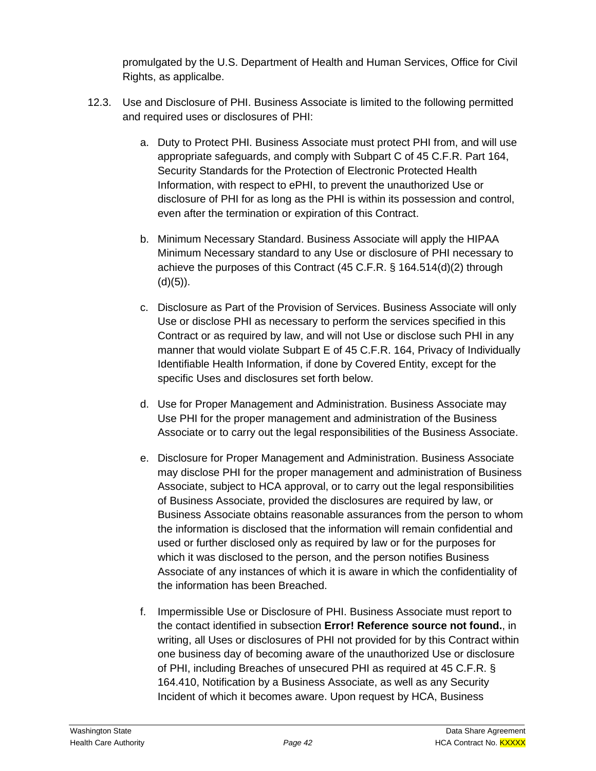promulgated by the U.S. Department of Health and Human Services, Office for Civil Rights, as applicalbe.

- 12.3. Use and Disclosure of PHI. Business Associate is limited to the following permitted and required uses or disclosures of PHI:
	- a. Duty to Protect PHI. Business Associate must protect PHI from, and will use appropriate safeguards, and comply with Subpart C of 45 C.F.R. Part 164, Security Standards for the Protection of Electronic Protected Health Information, with respect to ePHI, to prevent the unauthorized Use or disclosure of PHI for as long as the PHI is within its possession and control, even after the termination or expiration of this Contract.
	- b. Minimum Necessary Standard. Business Associate will apply the HIPAA Minimum Necessary standard to any Use or disclosure of PHI necessary to achieve the purposes of this Contract (45 C.F.R. § 164.514(d)(2) through  $(d)(5)$ ).
	- c. Disclosure as Part of the Provision of Services. Business Associate will only Use or disclose PHI as necessary to perform the services specified in this Contract or as required by law, and will not Use or disclose such PHI in any manner that would violate Subpart E of 45 C.F.R. 164, Privacy of Individually Identifiable Health Information, if done by Covered Entity, except for the specific Uses and disclosures set forth below.
	- d. Use for Proper Management and Administration. Business Associate may Use PHI for the proper management and administration of the Business Associate or to carry out the legal responsibilities of the Business Associate.
	- e. Disclosure for Proper Management and Administration. Business Associate may disclose PHI for the proper management and administration of Business Associate, subject to HCA approval, or to carry out the legal responsibilities of Business Associate, provided the disclosures are required by law, or Business Associate obtains reasonable assurances from the person to whom the information is disclosed that the information will remain confidential and used or further disclosed only as required by law or for the purposes for which it was disclosed to the person, and the person notifies Business Associate of any instances of which it is aware in which the confidentiality of the information has been Breached.
	- f. Impermissible Use or Disclosure of PHI. Business Associate must report to the contact identified in subsection **Error! Reference source not found.**, in writing, all Uses or disclosures of PHI not provided for by this Contract within one business day of becoming aware of the unauthorized Use or disclosure of PHI, including Breaches of unsecured PHI as required at 45 C.F.R. § 164.410, Notification by a Business Associate, as well as any Security Incident of which it becomes aware. Upon request by HCA, Business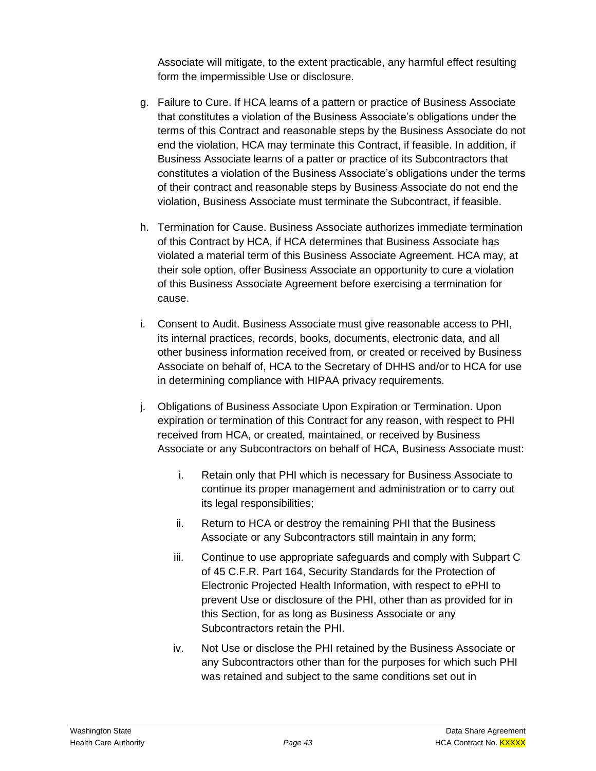Associate will mitigate, to the extent practicable, any harmful effect resulting form the impermissible Use or disclosure.

- g. Failure to Cure. If HCA learns of a pattern or practice of Business Associate that constitutes a violation of the Business Associate's obligations under the terms of this Contract and reasonable steps by the Business Associate do not end the violation, HCA may terminate this Contract, if feasible. In addition, if Business Associate learns of a patter or practice of its Subcontractors that constitutes a violation of the Business Associate's obligations under the terms of their contract and reasonable steps by Business Associate do not end the violation, Business Associate must terminate the Subcontract, if feasible.
- h. Termination for Cause. Business Associate authorizes immediate termination of this Contract by HCA, if HCA determines that Business Associate has violated a material term of this Business Associate Agreement. HCA may, at their sole option, offer Business Associate an opportunity to cure a violation of this Business Associate Agreement before exercising a termination for cause.
- i. Consent to Audit. Business Associate must give reasonable access to PHI, its internal practices, records, books, documents, electronic data, and all other business information received from, or created or received by Business Associate on behalf of, HCA to the Secretary of DHHS and/or to HCA for use in determining compliance with HIPAA privacy requirements.
- j. Obligations of Business Associate Upon Expiration or Termination. Upon expiration or termination of this Contract for any reason, with respect to PHI received from HCA, or created, maintained, or received by Business Associate or any Subcontractors on behalf of HCA, Business Associate must:
	- i. Retain only that PHI which is necessary for Business Associate to continue its proper management and administration or to carry out its legal responsibilities;
	- ii. Return to HCA or destroy the remaining PHI that the Business Associate or any Subcontractors still maintain in any form;
	- iii. Continue to use appropriate safeguards and comply with Subpart C of 45 C.F.R. Part 164, Security Standards for the Protection of Electronic Projected Health Information, with respect to ePHI to prevent Use or disclosure of the PHI, other than as provided for in this Section, for as long as Business Associate or any Subcontractors retain the PHI.
	- iv. Not Use or disclose the PHI retained by the Business Associate or any Subcontractors other than for the purposes for which such PHI was retained and subject to the same conditions set out in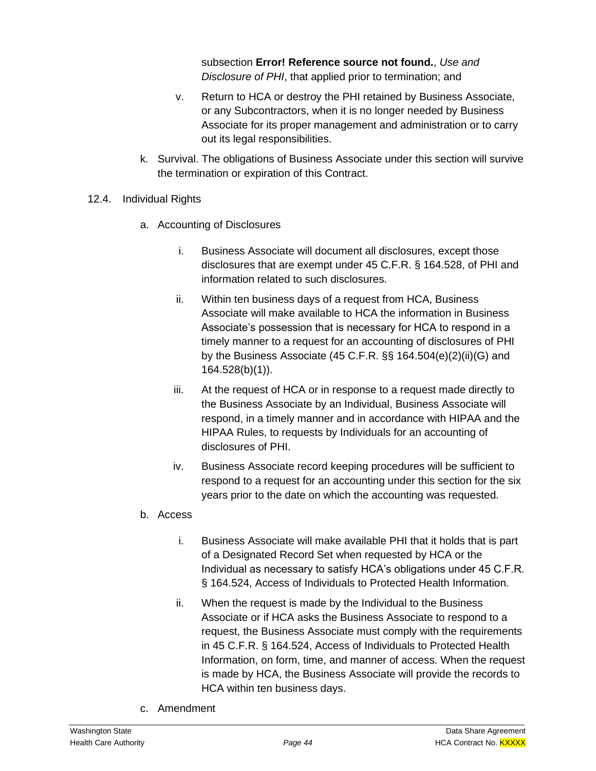subsection **Error! Reference source not found.**, *Use and Disclosure of PHI*, that applied prior to termination; and

- v. Return to HCA or destroy the PHI retained by Business Associate, or any Subcontractors, when it is no longer needed by Business Associate for its proper management and administration or to carry out its legal responsibilities.
- k. Survival. The obligations of Business Associate under this section will survive the termination or expiration of this Contract.
- 12.4. Individual Rights
	- a. Accounting of Disclosures
		- i. Business Associate will document all disclosures, except those disclosures that are exempt under 45 C.F.R. § 164.528, of PHI and information related to such disclosures.
		- ii. Within ten business days of a request from HCA, Business Associate will make available to HCA the information in Business Associate's possession that is necessary for HCA to respond in a timely manner to a request for an accounting of disclosures of PHI by the Business Associate (45 C.F.R. §§ 164.504(e)(2)(ii)(G) and 164.528(b)(1)).
		- iii. At the request of HCA or in response to a request made directly to the Business Associate by an Individual, Business Associate will respond, in a timely manner and in accordance with HIPAA and the HIPAA Rules, to requests by Individuals for an accounting of disclosures of PHI.
		- iv. Business Associate record keeping procedures will be sufficient to respond to a request for an accounting under this section for the six years prior to the date on which the accounting was requested.
	- b. Access
		- i. Business Associate will make available PHI that it holds that is part of a Designated Record Set when requested by HCA or the Individual as necessary to satisfy HCA's obligations under 45 C.F.R. § 164.524, Access of Individuals to Protected Health Information.
		- ii. When the request is made by the Individual to the Business Associate or if HCA asks the Business Associate to respond to a request, the Business Associate must comply with the requirements in 45 C.F.R. § 164.524, Access of Individuals to Protected Health Information, on form, time, and manner of access. When the request is made by HCA, the Business Associate will provide the records to HCA within ten business days.
	- c. Amendment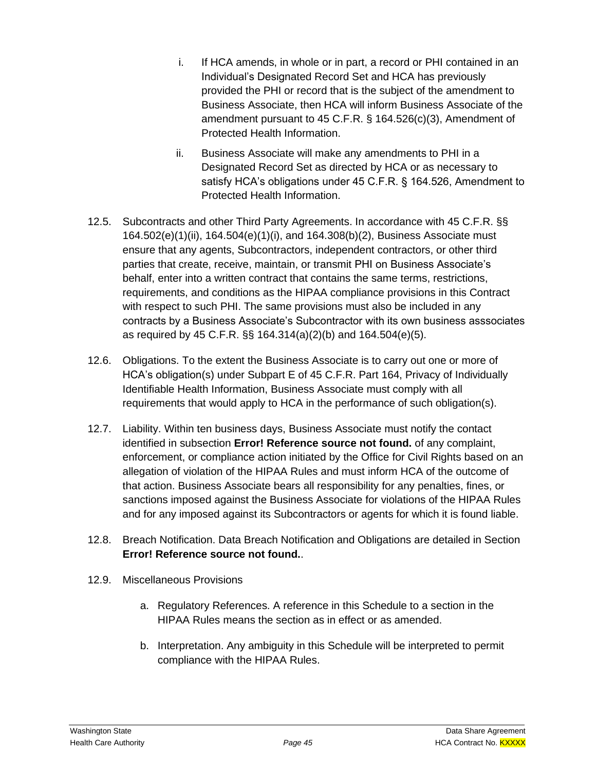- i. If HCA amends, in whole or in part, a record or PHI contained in an Individual's Designated Record Set and HCA has previously provided the PHI or record that is the subject of the amendment to Business Associate, then HCA will inform Business Associate of the amendment pursuant to 45 C.F.R. § 164.526(c)(3), Amendment of Protected Health Information.
- ii. Business Associate will make any amendments to PHI in a Designated Record Set as directed by HCA or as necessary to satisfy HCA's obligations under 45 C.F.R. § 164.526, Amendment to Protected Health Information.
- 12.5. Subcontracts and other Third Party Agreements. In accordance with 45 C.F.R. §§ 164.502(e)(1)(ii), 164.504(e)(1)(i), and 164.308(b)(2), Business Associate must ensure that any agents, Subcontractors, independent contractors, or other third parties that create, receive, maintain, or transmit PHI on Business Associate's behalf, enter into a written contract that contains the same terms, restrictions, requirements, and conditions as the HIPAA compliance provisions in this Contract with respect to such PHI. The same provisions must also be included in any contracts by a Business Associate's Subcontractor with its own business asssociates as required by 45 C.F.R. §§ 164.314(a)(2)(b) and 164.504(e)(5).
- 12.6. Obligations. To the extent the Business Associate is to carry out one or more of HCA's obligation(s) under Subpart E of 45 C.F.R. Part 164, Privacy of Individually Identifiable Health Information, Business Associate must comply with all requirements that would apply to HCA in the performance of such obligation(s).
- 12.7. Liability. Within ten business days, Business Associate must notify the contact identified in subsection **Error! Reference source not found.** of any complaint, enforcement, or compliance action initiated by the Office for Civil Rights based on an allegation of violation of the HIPAA Rules and must inform HCA of the outcome of that action. Business Associate bears all responsibility for any penalties, fines, or sanctions imposed against the Business Associate for violations of the HIPAA Rules and for any imposed against its Subcontractors or agents for which it is found liable.
- 12.8. Breach Notification. Data Breach Notification and Obligations are detailed in Section **Error! Reference source not found.**.
- 12.9. Miscellaneous Provisions
	- a. Regulatory References. A reference in this Schedule to a section in the HIPAA Rules means the section as in effect or as amended.
	- b. Interpretation. Any ambiguity in this Schedule will be interpreted to permit compliance with the HIPAA Rules.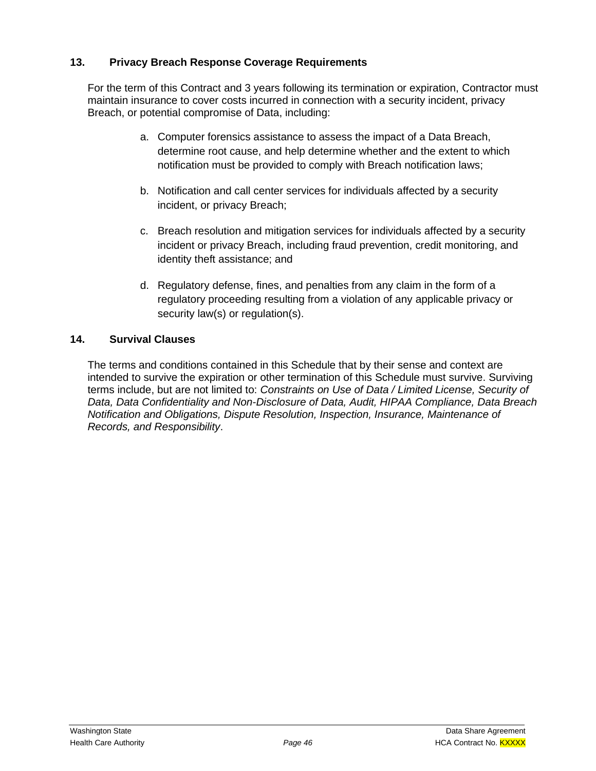## **13. Privacy Breach Response Coverage Requirements**

For the term of this Contract and 3 years following its termination or expiration, Contractor must maintain insurance to cover costs incurred in connection with a security incident, privacy Breach, or potential compromise of Data, including:

- a. Computer forensics assistance to assess the impact of a Data Breach, determine root cause, and help determine whether and the extent to which notification must be provided to comply with Breach notification laws;
- b. Notification and call center services for individuals affected by a security incident, or privacy Breach;
- c. Breach resolution and mitigation services for individuals affected by a security incident or privacy Breach, including fraud prevention, credit monitoring, and identity theft assistance; and
- d. Regulatory defense, fines, and penalties from any claim in the form of a regulatory proceeding resulting from a violation of any applicable privacy or security law(s) or regulation(s).

# **14. Survival Clauses**

The terms and conditions contained in this Schedule that by their sense and context are intended to survive the expiration or other termination of this Schedule must survive. Surviving terms include, but are not limited to: *Constraints on Use of Data / Limited License, Security of Data, Data Confidentiality and Non-Disclosure of Data, Audit, HIPAA Compliance, Data Breach Notification and Obligations, Dispute Resolution, Inspection, Insurance, Maintenance of Records, and Responsibility*.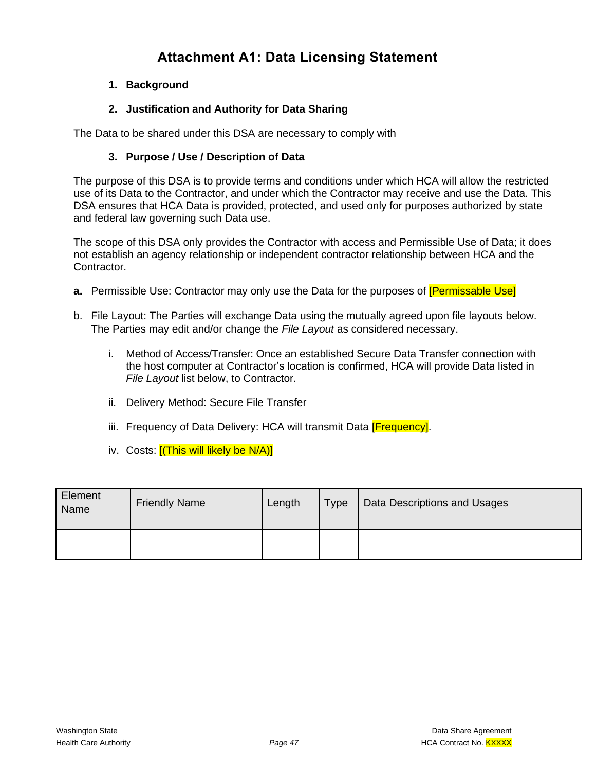# **Attachment A1: Data Licensing Statement**

## **1. Background**

## **2. Justification and Authority for Data Sharing**

The Data to be shared under this DSA are necessary to comply with

#### **3. Purpose / Use / Description of Data**

The purpose of this DSA is to provide terms and conditions under which HCA will allow the restricted use of its Data to the Contractor, and under which the Contractor may receive and use the Data. This DSA ensures that HCA Data is provided, protected, and used only for purposes authorized by state and federal law governing such Data use.

The scope of this DSA only provides the Contractor with access and Permissible Use of Data; it does not establish an agency relationship or independent contractor relationship between HCA and the Contractor.

- **a.** Permissible Use: Contractor may only use the Data for the purposes of **[Permissable Use]**
- b. File Layout: The Parties will exchange Data using the mutually agreed upon file layouts below. The Parties may edit and/or change the *File Layout* as considered necessary.
	- i. Method of Access/Transfer: Once an established Secure Data Transfer connection with the host computer at Contractor's location is confirmed, HCA will provide Data listed in *File Layout* list below, to Contractor.
	- ii. Delivery Method: Secure File Transfer
	- iii. Frequency of Data Delivery: HCA will transmit Data **[Frequency]**.
	- iv. Costs: **[(This will likely be N/A)]**

| Element<br>Name | <b>Friendly Name</b> | Length | <b>Type</b> | Data Descriptions and Usages |
|-----------------|----------------------|--------|-------------|------------------------------|
|                 |                      |        |             |                              |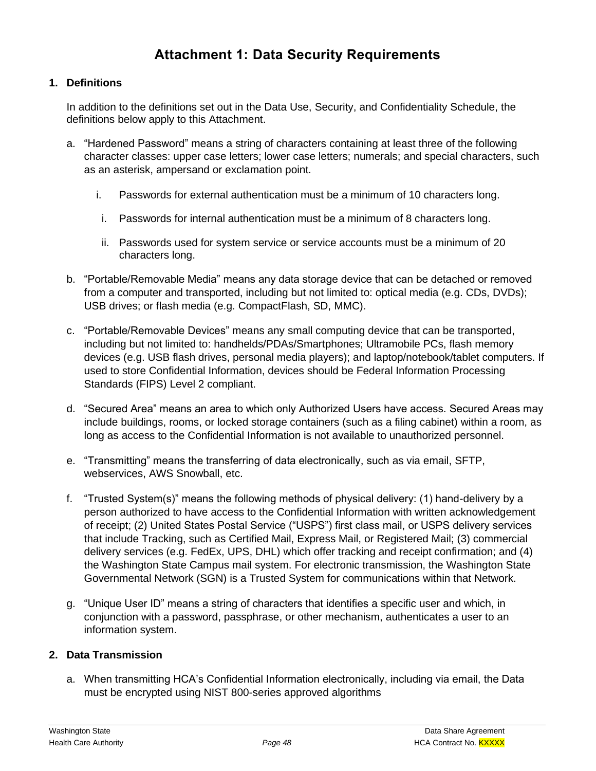# **Attachment 1: Data Security Requirements**

#### **1. Definitions**

In addition to the definitions set out in the Data Use, Security, and Confidentiality Schedule, the definitions below apply to this Attachment.

- a. "Hardened Password" means a string of characters containing at least three of the following character classes: upper case letters; lower case letters; numerals; and special characters, such as an asterisk, ampersand or exclamation point.
	- i. Passwords for external authentication must be a minimum of 10 characters long.
	- i. Passwords for internal authentication must be a minimum of 8 characters long.
	- ii. Passwords used for system service or service accounts must be a minimum of 20 characters long.
- b. "Portable/Removable Media" means any data storage device that can be detached or removed from a computer and transported, including but not limited to: optical media (e.g. CDs, DVDs); USB drives; or flash media (e.g. CompactFlash, SD, MMC).
- c. "Portable/Removable Devices" means any small computing device that can be transported, including but not limited to: handhelds/PDAs/Smartphones; Ultramobile PCs, flash memory devices (e.g. USB flash drives, personal media players); and laptop/notebook/tablet computers. If used to store Confidential Information, devices should be Federal Information Processing Standards (FIPS) Level 2 compliant.
- d. "Secured Area" means an area to which only Authorized Users have access. Secured Areas may include buildings, rooms, or locked storage containers (such as a filing cabinet) within a room, as long as access to the Confidential Information is not available to unauthorized personnel.
- e. "Transmitting" means the transferring of data electronically, such as via email, SFTP, webservices, AWS Snowball, etc.
- f. "Trusted System(s)" means the following methods of physical delivery: (1) hand-delivery by a person authorized to have access to the Confidential Information with written acknowledgement of receipt; (2) United States Postal Service ("USPS") first class mail, or USPS delivery services that include Tracking, such as Certified Mail, Express Mail, or Registered Mail; (3) commercial delivery services (e.g. FedEx, UPS, DHL) which offer tracking and receipt confirmation; and (4) the Washington State Campus mail system. For electronic transmission, the Washington State Governmental Network (SGN) is a Trusted System for communications within that Network.
- g. "Unique User ID" means a string of characters that identifies a specific user and which, in conjunction with a password, passphrase, or other mechanism, authenticates a user to an information system.

#### **2. Data Transmission**

a. When transmitting HCA's Confidential Information electronically, including via email, the Data must be encrypted using NIST 800-series approved algorithms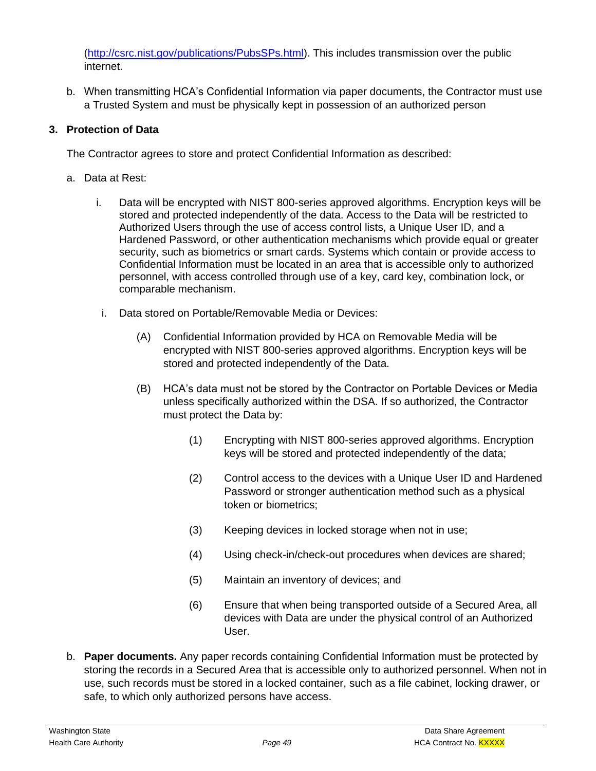[\(http://csrc.nist.gov/publications/PubsSPs.html\)](http://csrc.nist.gov/publications/PubsSPs.html). This includes transmission over the public internet.

b. When transmitting HCA's Confidential Information via paper documents, the Contractor must use a Trusted System and must be physically kept in possession of an authorized person

# **3. Protection of Data**

The Contractor agrees to store and protect Confidential Information as described:

- a. Data at Rest:
	- i. Data will be encrypted with NIST 800-series approved algorithms. Encryption keys will be stored and protected independently of the data. Access to the Data will be restricted to Authorized Users through the use of access control lists, a Unique User ID, and a Hardened Password, or other authentication mechanisms which provide equal or greater security, such as biometrics or smart cards. Systems which contain or provide access to Confidential Information must be located in an area that is accessible only to authorized personnel, with access controlled through use of a key, card key, combination lock, or comparable mechanism.
	- i. Data stored on Portable/Removable Media or Devices:
		- (A) Confidential Information provided by HCA on Removable Media will be encrypted with NIST 800-series approved algorithms. Encryption keys will be stored and protected independently of the Data.
		- (B) HCA's data must not be stored by the Contractor on Portable Devices or Media unless specifically authorized within the DSA. If so authorized, the Contractor must protect the Data by:
			- (1) Encrypting with NIST 800-series approved algorithms. Encryption keys will be stored and protected independently of the data;
			- (2) Control access to the devices with a Unique User ID and Hardened Password or stronger authentication method such as a physical token or biometrics;
			- (3) Keeping devices in locked storage when not in use;
			- (4) Using check-in/check-out procedures when devices are shared;
			- (5) Maintain an inventory of devices; and
			- (6) Ensure that when being transported outside of a Secured Area, all devices with Data are under the physical control of an Authorized User.
- b. **Paper documents.** Any paper records containing Confidential Information must be protected by storing the records in a Secured Area that is accessible only to authorized personnel. When not in use, such records must be stored in a locked container, such as a file cabinet, locking drawer, or safe, to which only authorized persons have access.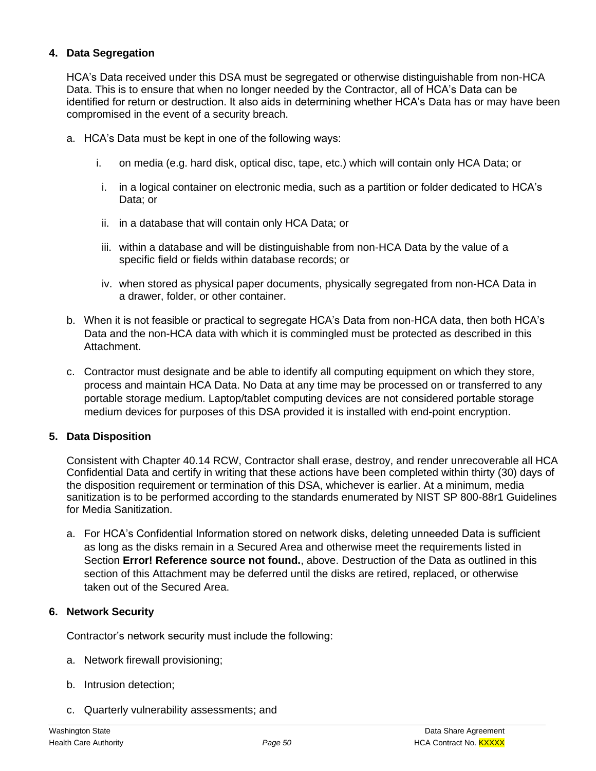#### **4. Data Segregation**

HCA's Data received under this DSA must be segregated or otherwise distinguishable from non-HCA Data. This is to ensure that when no longer needed by the Contractor, all of HCA's Data can be identified for return or destruction. It also aids in determining whether HCA's Data has or may have been compromised in the event of a security breach.

- a. HCA's Data must be kept in one of the following ways:
	- i. on media (e.g. hard disk, optical disc, tape, etc.) which will contain only HCA Data; or
	- i. in a logical container on electronic media, such as a partition or folder dedicated to HCA's Data; or
	- ii. in a database that will contain only HCA Data; or
	- iii. within a database and will be distinguishable from non-HCA Data by the value of a specific field or fields within database records; or
	- iv. when stored as physical paper documents, physically segregated from non-HCA Data in a drawer, folder, or other container.
- b. When it is not feasible or practical to segregate HCA's Data from non-HCA data, then both HCA's Data and the non-HCA data with which it is commingled must be protected as described in this Attachment.
- c. Contractor must designate and be able to identify all computing equipment on which they store, process and maintain HCA Data. No Data at any time may be processed on or transferred to any portable storage medium. Laptop/tablet computing devices are not considered portable storage medium devices for purposes of this DSA provided it is installed with end-point encryption.

## **5. Data Disposition**

Consistent with Chapter 40.14 RCW, Contractor shall erase, destroy, and render unrecoverable all HCA Confidential Data and certify in writing that these actions have been completed within thirty (30) days of the disposition requirement or termination of this DSA, whichever is earlier. At a minimum, media sanitization is to be performed according to the standards enumerated by NIST SP 800-88r1 Guidelines for Media Sanitization.

a. For HCA's Confidential Information stored on network disks, deleting unneeded Data is sufficient as long as the disks remain in a Secured Area and otherwise meet the requirements listed in Section **Error! Reference source not found.**, above. Destruction of the Data as outlined in this section of this Attachment may be deferred until the disks are retired, replaced, or otherwise taken out of the Secured Area.

#### **6. Network Security**

Contractor's network security must include the following:

- a. Network firewall provisioning;
- b. Intrusion detection;
- c. Quarterly vulnerability assessments; and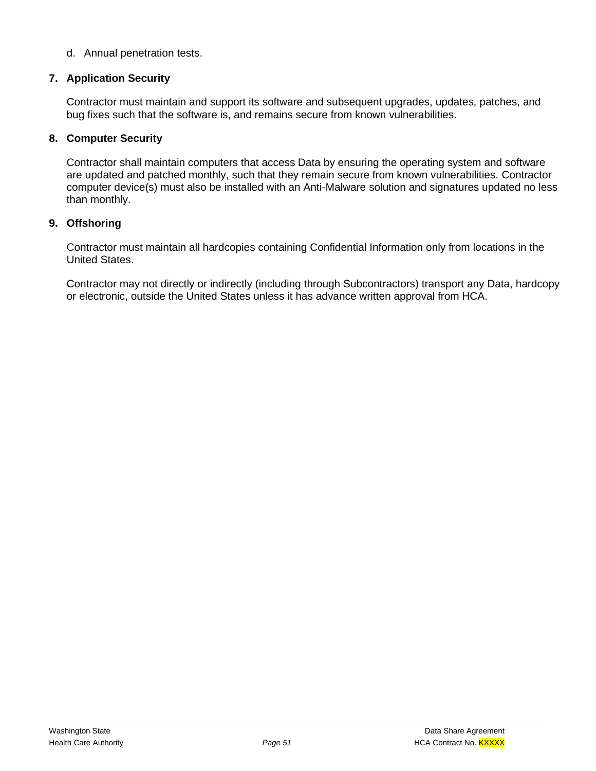#### d. Annual penetration tests.

#### **7. Application Security**

Contractor must maintain and support its software and subsequent upgrades, updates, patches, and bug fixes such that the software is, and remains secure from known vulnerabilities.

#### **8. Computer Security**

Contractor shall maintain computers that access Data by ensuring the operating system and software are updated and patched monthly, such that they remain secure from known vulnerabilities. Contractor computer device(s) must also be installed with an Anti-Malware solution and signatures updated no less than monthly.

#### **9. Offshoring**

Contractor must maintain all hardcopies containing Confidential Information only from locations in the United States.

Contractor may not directly or indirectly (including through Subcontractors) transport any Data, hardcopy or electronic, outside the United States unless it has advance written approval from HCA.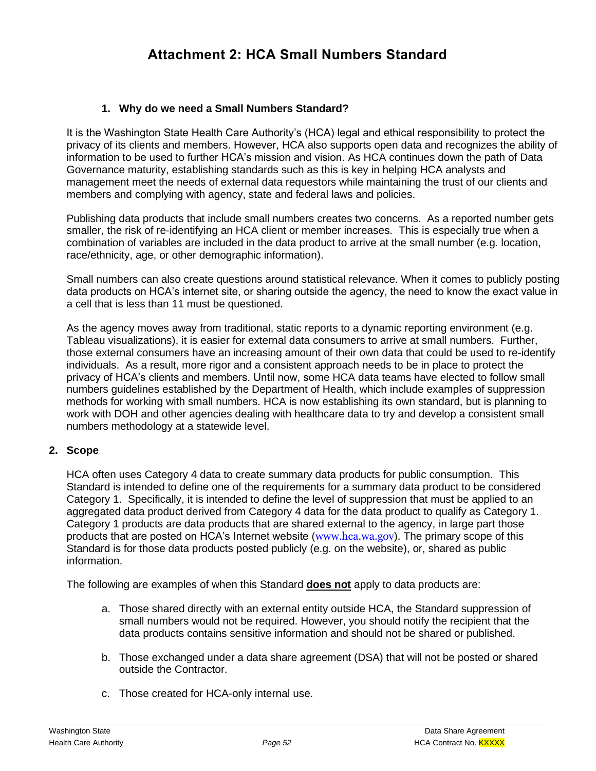# **Attachment 2: HCA Small Numbers Standard**

#### **1. Why do we need a Small Numbers Standard?**

It is the Washington State Health Care Authority's (HCA) legal and ethical responsibility to protect the privacy of its clients and members. However, HCA also supports open data and recognizes the ability of information to be used to further HCA's mission and vision. As HCA continues down the path of Data Governance maturity, establishing standards such as this is key in helping HCA analysts and management meet the needs of external data requestors while maintaining the trust of our clients and members and complying with agency, state and federal laws and policies.

Publishing data products that include small numbers creates two concerns. As a reported number gets smaller, the risk of re-identifying an HCA client or member increases. This is especially true when a combination of variables are included in the data product to arrive at the small number (e.g. location, race/ethnicity, age, or other demographic information).

Small numbers can also create questions around statistical relevance. When it comes to publicly posting data products on HCA's internet site, or sharing outside the agency, the need to know the exact value in a cell that is less than 11 must be questioned.

As the agency moves away from traditional, static reports to a dynamic reporting environment (e.g. Tableau visualizations), it is easier for external data consumers to arrive at small numbers. Further, those external consumers have an increasing amount of their own data that could be used to re-identify individuals. As a result, more rigor and a consistent approach needs to be in place to protect the privacy of HCA's clients and members. Until now, some HCA data teams have elected to follow small numbers guidelines established by the Department of Health, which include examples of suppression methods for working with small numbers. HCA is now establishing its own standard, but is planning to work with DOH and other agencies dealing with healthcare data to try and develop a consistent small numbers methodology at a statewide level.

#### **2. Scope**

HCA often uses Category 4 data to create summary data products for public consumption. This Standard is intended to define one of the requirements for a summary data product to be considered Category 1. Specifically, it is intended to define the level of suppression that must be applied to an aggregated data product derived from Category 4 data for the data product to qualify as Category 1. Category 1 products are data products that are shared external to the agency, in large part those products that are posted on HCA's Internet website ([www.hca.wa.gov](http://www.hca.wa.gov/)). The primary scope of this Standard is for those data products posted publicly (e.g. on the website), or, shared as public information.

The following are examples of when this Standard **does not** apply to data products are:

- a. Those shared directly with an external entity outside HCA, the Standard suppression of small numbers would not be required. However, you should notify the recipient that the data products contains sensitive information and should not be shared or published.
- b. Those exchanged under a data share agreement (DSA) that will not be posted or shared outside the Contractor.
- c. Those created for HCA-only internal use.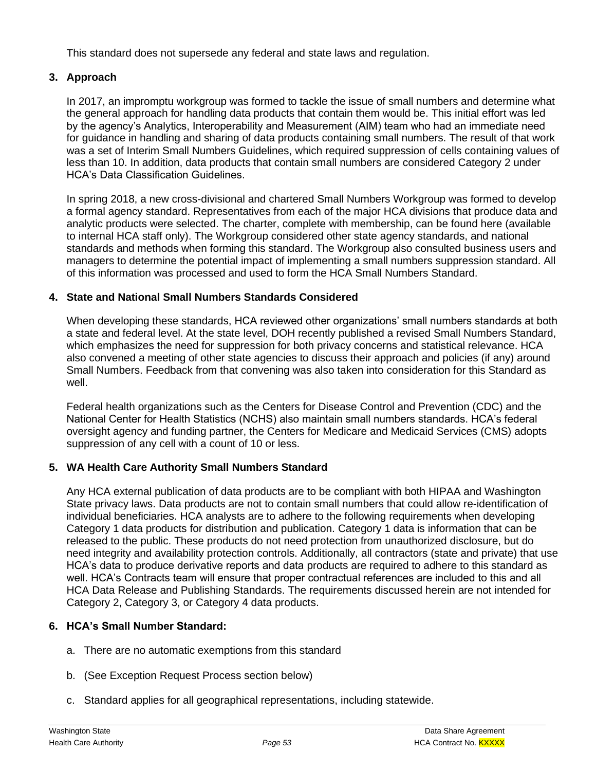This standard does not supersede any federal and state laws and regulation.

## **3. Approach**

In 2017, an impromptu workgroup was formed to tackle the issue of small numbers and determine what the general approach for handling data products that contain them would be. This initial effort was led by the agency's Analytics, Interoperability and Measurement (AIM) team who had an immediate need for guidance in handling and sharing of data products containing small numbers. The result of that work was a set of Interim Small Numbers Guidelines, which required suppression of cells containing values of less than 10. In addition, data products that contain small numbers are considered Category 2 under HCA's Data Classification Guidelines.

In spring 2018, a new cross-divisional and chartered Small Numbers Workgroup was formed to develop a formal agency standard. Representatives from each of the major HCA divisions that produce data and analytic products were selected. The charter, complete with membership, can be found here (available to internal HCA staff only). The Workgroup considered other state agency standards, and national standards and methods when forming this standard. The Workgroup also consulted business users and managers to determine the potential impact of implementing a small numbers suppression standard. All of this information was processed and used to form the HCA Small Numbers Standard.

## **4. State and National Small Numbers Standards Considered**

When developing these standards, HCA reviewed other organizations' small numbers standards at both a state and federal level. At the state level, DOH recently published a revised Small Numbers Standard, which emphasizes the need for suppression for both privacy concerns and statistical relevance. HCA also convened a meeting of other state agencies to discuss their approach and policies (if any) around Small Numbers. Feedback from that convening was also taken into consideration for this Standard as well.

Federal health organizations such as the Centers for Disease Control and Prevention (CDC) and the National Center for Health Statistics (NCHS) also maintain small numbers standards. HCA's federal oversight agency and funding partner, the Centers for Medicare and Medicaid Services (CMS) adopts suppression of any cell with a count of 10 or less.

## **5. WA Health Care Authority Small Numbers Standard**

Any HCA external publication of data products are to be compliant with both HIPAA and Washington State privacy laws. Data products are not to contain small numbers that could allow re-identification of individual beneficiaries. HCA analysts are to adhere to the following requirements when developing Category 1 data products for distribution and publication. Category 1 data is information that can be released to the public. These products do not need protection from unauthorized disclosure, but do need integrity and availability protection controls. Additionally, all contractors (state and private) that use HCA's data to produce derivative reports and data products are required to adhere to this standard as well. HCA's Contracts team will ensure that proper contractual references are included to this and all HCA Data Release and Publishing Standards. The requirements discussed herein are not intended for Category 2, Category 3, or Category 4 data products.

## **6. HCA's Small Number Standard:**

- a. There are no automatic exemptions from this standard
- b. (See Exception Request Process section below)
- c. Standard applies for all geographical representations, including statewide.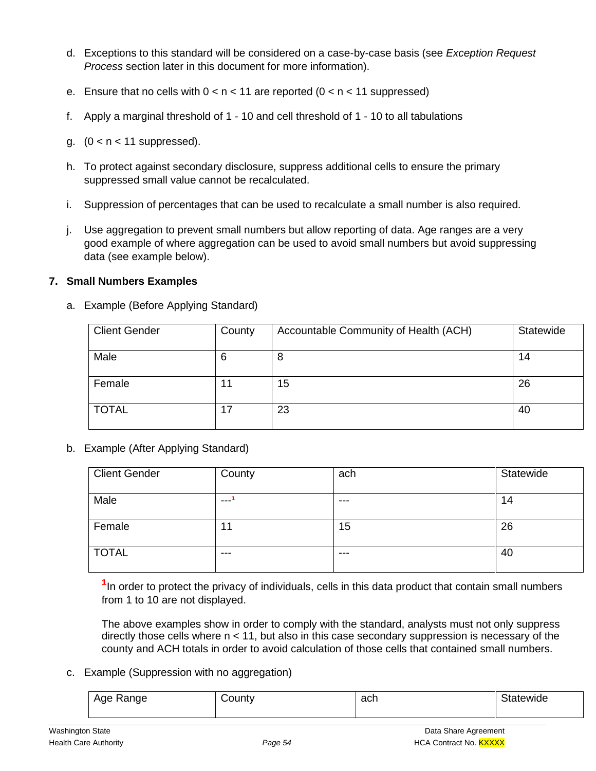- d. Exceptions to this standard will be considered on a case-by-case basis (see *Exception Request Process* section later in this document for more information).
- e. Ensure that no cells with  $0 < n < 11$  are reported  $(0 < n < 11$  suppressed)
- f. Apply a marginal threshold of 1 10 and cell threshold of 1 10 to all tabulations
- g.  $(0 < n < 11$  suppressed).
- h. To protect against secondary disclosure, suppress additional cells to ensure the primary suppressed small value cannot be recalculated.
- i. Suppression of percentages that can be used to recalculate a small number is also required.
- j. Use aggregation to prevent small numbers but allow reporting of data. Age ranges are a very good example of where aggregation can be used to avoid small numbers but avoid suppressing data (see example below).

#### **7. Small Numbers Examples**

| <b>Client Gender</b> | County | Accountable Community of Health (ACH) | Statewide |
|----------------------|--------|---------------------------------------|-----------|
| Male                 | 6      | 8                                     | 14        |
| Female               | 11     | 15                                    | 26        |
| <b>TOTAL</b>         | 17     | 23                                    | 40        |

a. Example (Before Applying Standard)

b. Example (After Applying Standard)

| <b>Client Gender</b> | County  | ach   | Statewide |
|----------------------|---------|-------|-----------|
| Male                 | ---     | $---$ | 14        |
| Female               | 11<br>1 | 15    | 26        |
| <b>TOTAL</b>         | $-- -$  | $---$ | 40        |

<sup>1</sup>In order to protect the privacy of individuals, cells in this data product that contain small numbers from 1 to 10 are not displayed.

The above examples show in order to comply with the standard, analysts must not only suppress directly those cells where  $n < 11$ , but also in this case secondary suppression is necessary of the county and ACH totals in order to avoid calculation of those cells that contained small numbers.

#### c. Example (Suppression with no aggregation)

| Range<br>Ane | ้วนทเง | ach | utewide |
|--------------|--------|-----|---------|
|              |        |     |         |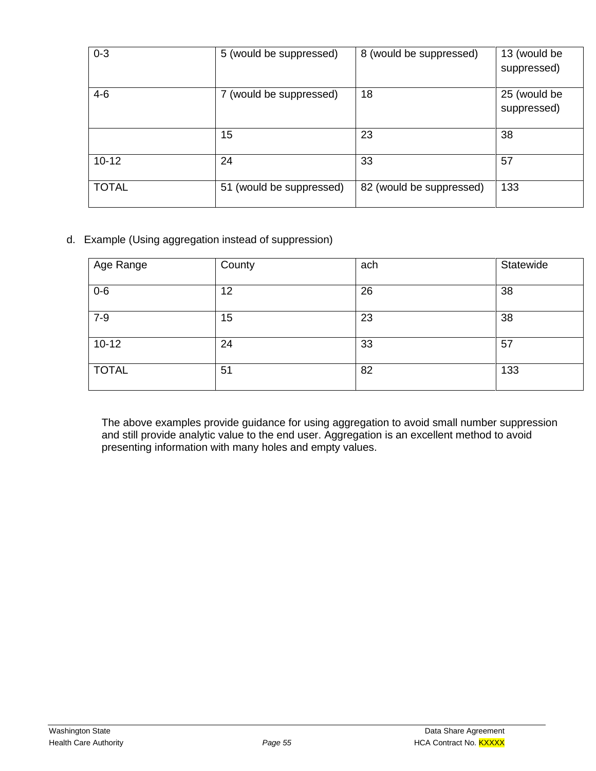| $0 - 3$      | 5 (would be suppressed)  | 8 (would be suppressed)  | 13 (would be<br>suppressed) |
|--------------|--------------------------|--------------------------|-----------------------------|
| $4-6$        | 7 (would be suppressed)  | 18                       | 25 (would be<br>suppressed) |
|              | 15                       | 23                       | 38                          |
| $10 - 12$    | 24                       | 33                       | 57                          |
| <b>TOTAL</b> | 51 (would be suppressed) | 82 (would be suppressed) | 133                         |

d. Example (Using aggregation instead of suppression)

| Age Range    | County | ach | Statewide |
|--------------|--------|-----|-----------|
| $0-6$        | 12     | 26  | 38        |
| $7-9$        | 15     | 23  | 38        |
| $10 - 12$    | 24     | 33  | 57        |
| <b>TOTAL</b> | 51     | 82  | 133       |

The above examples provide guidance for using aggregation to avoid small number suppression and still provide analytic value to the end user. Aggregation is an excellent method to avoid presenting information with many holes and empty values.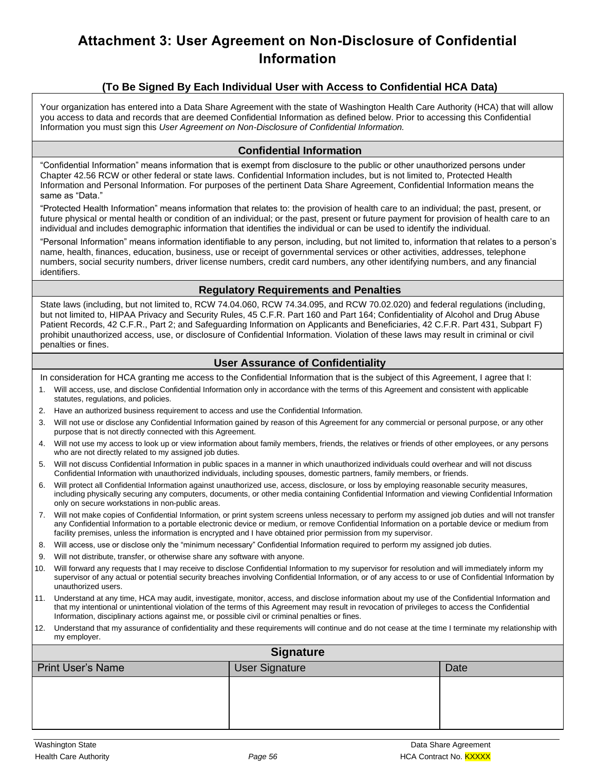# **Attachment 3: User Agreement on Non-Disclosure of Confidential Information**

## **(To Be Signed By Each Individual User with Access to Confidential HCA Data)**

Your organization has entered into a Data Share Agreement with the state of Washington Health Care Authority (HCA) that will allow you access to data and records that are deemed Confidential Information as defined below. Prior to accessing this Confidential Information you must sign this *User Agreement on Non-Disclosure of Confidential Information.*

#### **Confidential Information**

"Confidential Information" means information that is exempt from disclosure to the public or other unauthorized persons under Chapter 42.56 RCW or other federal or state laws. Confidential Information includes, but is not limited to, Protected Health Information and Personal Information. For purposes of the pertinent Data Share Agreement, Confidential Information means the same as "Data."

"Protected Health Information" means information that relates to: the provision of health care to an individual; the past, present, or future physical or mental health or condition of an individual; or the past, present or future payment for provision of health care to an individual and includes demographic information that identifies the individual or can be used to identify the individual.

"Personal Information" means information identifiable to any person, including, but not limited to, information that relates to a person's name, health, finances, education, business, use or receipt of governmental services or other activities, addresses, telephone numbers, social security numbers, driver license numbers, credit card numbers, any other identifying numbers, and any financial identifiers.

#### **Regulatory Requirements and Penalties**

State laws (including, but not limited to, RCW 74.04.060, RCW 74.34.095, and RCW 70.02.020) and federal regulations (including, but not limited to, HIPAA Privacy and Security Rules, 45 C.F.R. Part 160 and Part 164; Confidentiality of Alcohol and Drug Abuse Patient Records, 42 C.F.R., Part 2; and Safeguarding Information on Applicants and Beneficiaries, 42 C.F.R. Part 431, Subpart F) prohibit unauthorized access, use, or disclosure of Confidential Information. Violation of these laws may result in criminal or civil penalties or fines.

#### **User Assurance of Confidentiality**

In consideration for HCA granting me access to the Confidential Information that is the subject of this Agreement, I agree that I:

- 1. Will access, use, and disclose Confidential Information only in accordance with the terms of this Agreement and consistent with applicable statutes, regulations, and policies.
- 2. Have an authorized business requirement to access and use the Confidential Information.
- 3. Will not use or disclose any Confidential Information gained by reason of this Agreement for any commercial or personal purpose, or any other purpose that is not directly connected with this Agreement.
- 4. Will not use my access to look up or view information about family members, friends, the relatives or friends of other employees, or any persons who are not directly related to my assigned job duties.
- 5. Will not discuss Confidential Information in public spaces in a manner in which unauthorized individuals could overhear and will not discuss Confidential Information with unauthorized individuals, including spouses, domestic partners, family members, or friends.
- 6. Will protect all Confidential Information against unauthorized use, access, disclosure, or loss by employing reasonable security measures, including physically securing any computers, documents, or other media containing Confidential Information and viewing Confidential Information only on secure workstations in non-public areas.
- 7. Will not make copies of Confidential Information, or print system screens unless necessary to perform my assigned job duties and will not transfer any Confidential Information to a portable electronic device or medium, or remove Confidential Information on a portable device or medium from facility premises, unless the information is encrypted and I have obtained prior permission from my supervisor.
- 8. Will access, use or disclose only the "minimum necessary" Confidential Information required to perform my assigned job duties.
- 9. Will not distribute, transfer, or otherwise share any software with anyone.
- 10. Will forward any requests that I may receive to disclose Confidential Information to my supervisor for resolution and will immediately inform my supervisor of any actual or potential security breaches involving Confidential Information, or of any access to or use of Confidential Information by unauthorized users.
- 11. Understand at any time, HCA may audit, investigate, monitor, access, and disclose information about my use of the Confidential Information and that my intentional or unintentional violation of the terms of this Agreement may result in revocation of privileges to access the Confidential Information, disciplinary actions against me, or possible civil or criminal penalties or fines.
- 12. Understand that my assurance of confidentiality and these requirements will continue and do not cease at the time I terminate my relationship with my employer.

| <b>Signature</b>         |                       |      |
|--------------------------|-----------------------|------|
| <b>Print User's Name</b> | <b>User Signature</b> | Date |
|                          |                       |      |
|                          |                       |      |
|                          |                       |      |
|                          |                       |      |